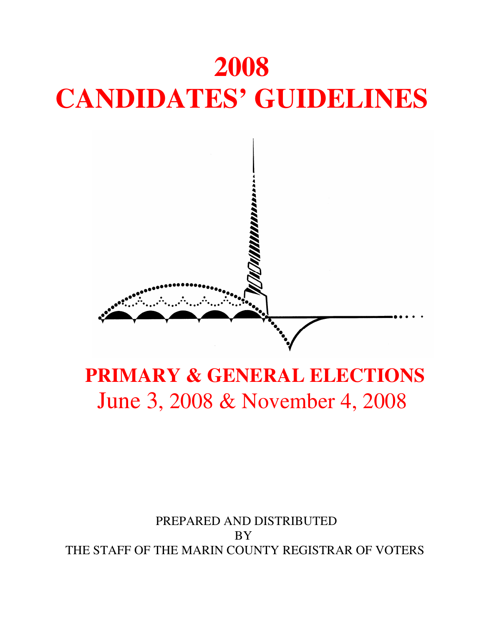

### **PRIMARY & GENERAL ELECTIONS**  June 3, 2008 & November 4, 2008

### PREPARED AND DISTRIBUTED BY THE STAFF OF THE MARIN COUNTY REGISTRAR OF VOTERS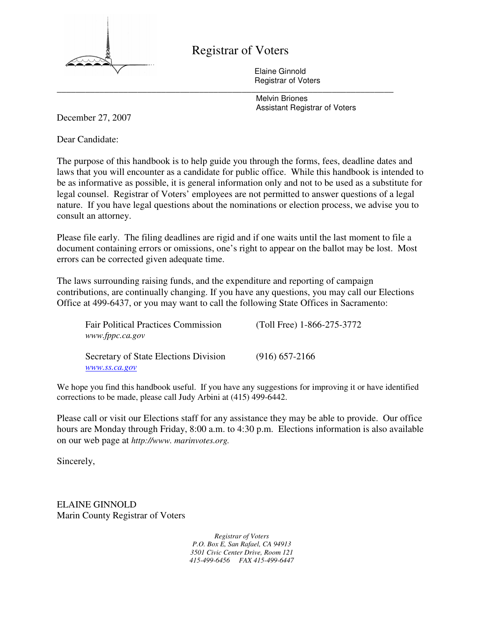

#### Registrar of Voters

Elaine Ginnold Registrar of Voters \_\_\_\_\_\_\_\_\_\_\_\_\_\_\_\_\_\_\_\_\_\_\_\_\_\_\_\_\_\_\_\_\_\_\_\_\_\_\_\_\_\_\_\_\_\_\_\_\_\_\_\_\_\_\_\_\_\_\_\_\_\_\_\_\_\_\_\_\_\_\_

 Melvin Briones Assistant Registrar of Voters

December 27, 2007

Dear Candidate:

The purpose of this handbook is to help guide you through the forms, fees, deadline dates and laws that you will encounter as a candidate for public office. While this handbook is intended to be as informative as possible, it is general information only and not to be used as a substitute for legal counsel. Registrar of Voters' employees are not permitted to answer questions of a legal nature. If you have legal questions about the nominations or election process, we advise you to consult an attorney.

Please file early. The filing deadlines are rigid and if one waits until the last moment to file a document containing errors or omissions, one's right to appear on the ballot may be lost. Most errors can be corrected given adequate time.

The laws surrounding raising funds, and the expenditure and reporting of campaign contributions, are continually changing. If you have any questions, you may call our Elections Office at 499-6437, or you may want to call the following State Offices in Sacramento:

| <b>Fair Political Practices Commission</b><br>www.fppc.ca.gov | (Toll Free) 1-866-275-3772 |
|---------------------------------------------------------------|----------------------------|
| Secretary of State Elections Division                         | $(916)$ 657-2166           |
| www.ss.ca.gov                                                 |                            |

We hope you find this handbook useful. If you have any suggestions for improving it or have identified corrections to be made, please call Judy Arbini at (415) 499-6442.

Please call or visit our Elections staff for any assistance they may be able to provide. Our office hours are Monday through Friday, 8:00 a.m. to 4:30 p.m. Elections information is also available on our web page at *http://www. marinvotes.org.* 

Sincerely,

ELAINE GINNOLD Marin County Registrar of Voters

> *Registrar of Voters P.O. Box E, San Rafael, CA 94913 3501 Civic Center Drive, Room 121 415-499-6456 FAX 415-499-6447*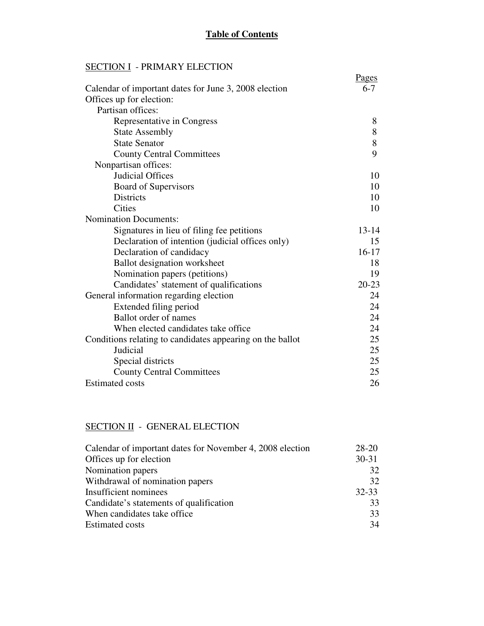#### **SECTION I** - PRIMARY ELECTION

|                                                           | <u>Pages</u> |
|-----------------------------------------------------------|--------------|
| Calendar of important dates for June 3, 2008 election     | $6 - 7$      |
| Offices up for election:                                  |              |
| Partisan offices:                                         |              |
| Representative in Congress                                | 8            |
| <b>State Assembly</b>                                     | 8            |
| <b>State Senator</b>                                      | 8            |
| <b>County Central Committees</b>                          | 9            |
| Nonpartisan offices:                                      |              |
| <b>Judicial Offices</b>                                   | 10           |
| Board of Supervisors                                      | 10           |
| <b>Districts</b>                                          | 10           |
| <b>Cities</b>                                             | 10           |
| <b>Nomination Documents:</b>                              |              |
| Signatures in lieu of filing fee petitions                | $13 - 14$    |
| Declaration of intention (judicial offices only)          | 15           |
| Declaration of candidacy                                  | $16-17$      |
| <b>Ballot</b> designation worksheet                       | 18           |
| Nomination papers (petitions)                             | 19           |
| Candidates' statement of qualifications                   | $20 - 23$    |
| General information regarding election                    | 24           |
| Extended filing period                                    | 24           |
| <b>Ballot</b> order of names                              | 24           |
| When elected candidates take office                       | 24           |
| Conditions relating to candidates appearing on the ballot | 25           |
| Judicial                                                  | 25           |
| Special districts                                         | 25           |
| <b>County Central Committees</b>                          | 25           |
| <b>Estimated costs</b>                                    | 26           |

#### SECTION II - GENERAL ELECTION

| Calendar of important dates for November 4, 2008 election | $28 - 20$ |
|-----------------------------------------------------------|-----------|
| Offices up for election                                   | $30 - 31$ |
| Nomination papers                                         | 32        |
| Withdrawal of nomination papers                           | 32        |
| Insufficient nominees                                     | $32 - 33$ |
| Candidate's statements of qualification                   | 33        |
| When candidates take office.                              | 33        |
| <b>Estimated costs</b>                                    | 34        |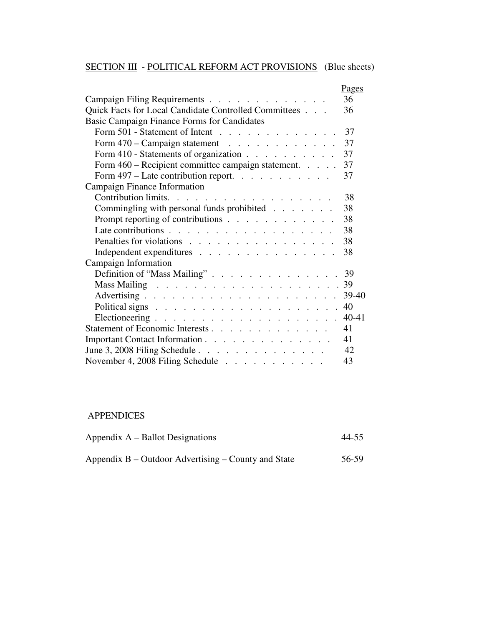#### SECTION III - POLITICAL REFORM ACT PROVISIONS (Blue sheets)

|                                                                                            | Pages   |
|--------------------------------------------------------------------------------------------|---------|
| Campaign Filing Requirements                                                               | 36      |
| Quick Facts for Local Candidate Controlled Committees                                      | 36      |
| Basic Campaign Finance Forms for Candidates                                                |         |
| Form 501 - Statement of Intent                                                             | 37      |
| Form 470 – Campaign statement                                                              | 37      |
| Form 410 - Statements of organization                                                      | 37      |
| Form 460 – Recipient committee campaign statement. 37                                      |         |
| Form $497 -$ Late contribution report.                                                     | 37      |
| Campaign Finance Information                                                               |         |
| Contribution limits.                                                                       | 38      |
| Commingling with personal funds prohibited                                                 | 38      |
| Prompt reporting of contributions                                                          | 38      |
| Late contributions $\ldots$ $\ldots$ $\ldots$ $\ldots$ $\ldots$ $\ldots$ $\ldots$          | 38      |
| Penalties for violations                                                                   | 38      |
| Independent expenditures                                                                   | 38      |
| Campaign Information                                                                       |         |
|                                                                                            |         |
|                                                                                            |         |
|                                                                                            | $39-40$ |
| Political signs $\ldots$ $\ldots$ $\ldots$ $\ldots$ $\ldots$ $\ldots$ $\ldots$ $\ldots$ 40 |         |
|                                                                                            |         |
| Statement of Economic Interests                                                            | 41      |
| Important Contact Information                                                              | 41      |
| June 3, 2008 Filing Schedule                                                               | 42      |
| November 4, 2008 Filing Schedule                                                           | 43      |

#### **APPENDICES**

| Appendix $A -$ Ballot Designations                  | 44-55 |  |
|-----------------------------------------------------|-------|--|
| Appendix B – Outdoor Advertising – County and State | 56-59 |  |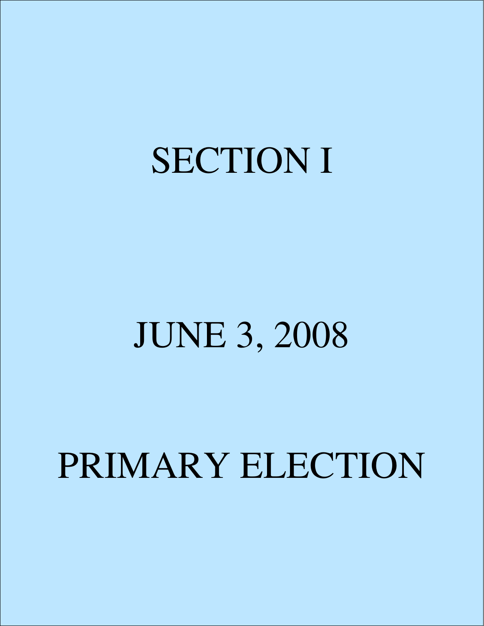### SECTION I

### JUNE 3, 2008

### PRIMARY ELECTION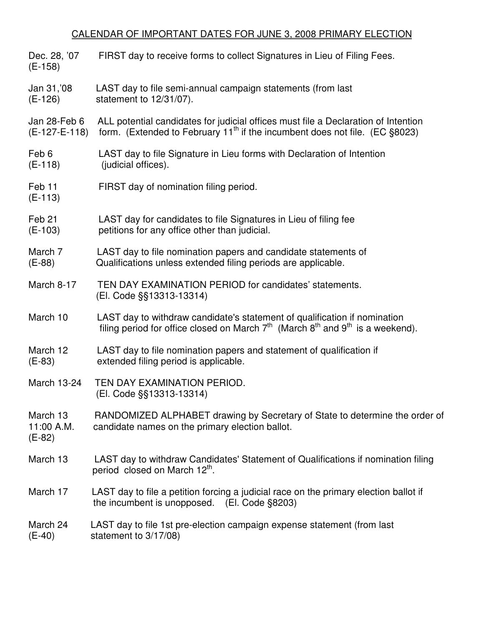#### CALENDAR OF IMPORTANT DATES FOR JUNE 3, 2008 PRIMARY ELECTION

| Dec. 28, '07<br>$(E-158)$          | FIRST day to receive forms to collect Signatures in Lieu of Filing Fees.                                                                                                           |
|------------------------------------|------------------------------------------------------------------------------------------------------------------------------------------------------------------------------------|
| Jan 31, 08<br>$(E-126)$            | LAST day to file semi-annual campaign statements (from last<br>statement to 12/31/07).                                                                                             |
| Jan 28-Feb 6<br>(E-127-E-118)      | ALL potential candidates for judicial offices must file a Declaration of Intention<br>form. (Extended to February 11 <sup>th</sup> if the incumbent does not file. (EC $\S 8023$ ) |
| Feb 6<br>$(E-118)$                 | LAST day to file Signature in Lieu forms with Declaration of Intention<br>(judicial offices).                                                                                      |
| Feb <sub>11</sub><br>$(E-113)$     | FIRST day of nomination filing period.                                                                                                                                             |
| Feb <sub>21</sub><br>$(E-103)$     | LAST day for candidates to file Signatures in Lieu of filing fee<br>petitions for any office other than judicial.                                                                  |
| March 7<br>$(E-88)$                | LAST day to file nomination papers and candidate statements of<br>Qualifications unless extended filing periods are applicable.                                                    |
| March 8-17                         | TEN DAY EXAMINATION PERIOD for candidates' statements.<br>(El. Code §§13313-13314)                                                                                                 |
| March 10                           | LAST day to withdraw candidate's statement of qualification if nomination<br>filing period for office closed on March $7th$ (March $8th$ and $9th$ is a weekend).                  |
| March 12<br>$(E-83)$               | LAST day to file nomination papers and statement of qualification if<br>extended filing period is applicable.                                                                      |
| March 13-24                        | TEN DAY EXAMINATION PERIOD.<br>(El. Code §§13313-13314)                                                                                                                            |
| March 13<br>11:00 A.M.<br>$(E-82)$ | RANDOMIZED ALPHABET drawing by Secretary of State to determine the order of<br>candidate names on the primary election ballot.                                                     |
| March 13                           | LAST day to withdraw Candidates' Statement of Qualifications if nomination filing<br>period closed on March 12th.                                                                  |
| March 17                           | LAST day to file a petition forcing a judicial race on the primary election ballot if<br>the incumbent is unopposed. $(El. Code §8203)$                                            |
| March 24<br>$(E-40)$               | LAST day to file 1st pre-election campaign expense statement (from last<br>statement to 3/17/08)                                                                                   |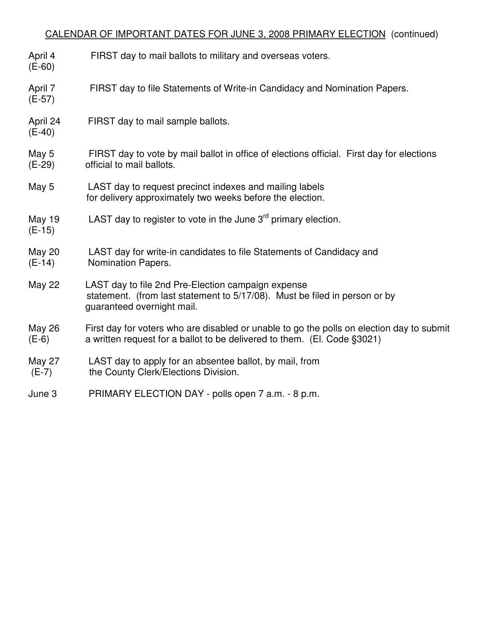#### CALENDAR OF IMPORTANT DATES FOR JUNE 3, 2008 PRIMARY ELECTION (continued)

- April 4 FIRST day to mail ballots to military and overseas voters. (E-60) April 7 FIRST day to file Statements of Write-in Candidacy and Nomination Papers. (E-57) April 24 FIRST day to mail sample ballots. (E-40) May 5 FIRST day to vote by mail ballot in office of elections official. First day for elections (E-29) official to mail ballots. May 5 LAST day to request precinct indexes and mailing labels for delivery approximately two weeks before the election. May 19 LAST day to register to vote in the June  $3<sup>rd</sup>$  primary election. (E-15) May 20 LAST day for write-in candidates to file Statements of Candidacy and (E-14) Nomination Papers. May 22 LAST day to file 2nd Pre-Election campaign expense statement. (from last statement to 5/17/08). Must be filed in person or by guaranteed overnight mail. May 26 First day for voters who are disabled or unable to go the polls on election day to submit (E-6) a written request for a ballot to be delivered to them. (El. Code §3021) May 27 LAST day to apply for an absentee ballot, by mail, from (E-7) the County Clerk/Elections Division.
- June 3 PRIMARY ELECTION DAY polls open 7 a.m. 8 p.m.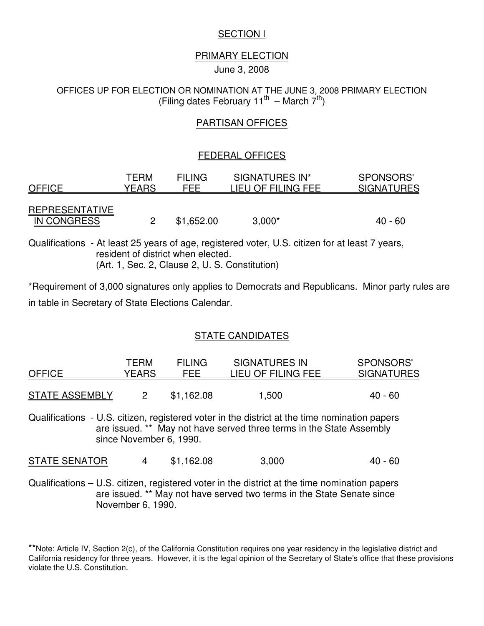#### **SECTION I**

#### PRIMARY ELECTION

June 3, 2008

OFFICES UP FOR ELECTION OR NOMINATION AT THE JUNE 3, 2008 PRIMARY ELECTION (Filing dates February 11<sup>th</sup> – March  $7<sup>th</sup>$ )

#### PARTISAN OFFICES

#### FEDERAL OFFICES

| <b>OFFICE</b>                               | <b>TERM</b> | <b>FILING</b> | SIGNATURES IN*     | SPONSORS'         |
|---------------------------------------------|-------------|---------------|--------------------|-------------------|
|                                             | YEARS       | FEE           | LIEU OF FILING FEE | <b>SIGNATURES</b> |
| <b>REPRESENTATIVE</b><br><b>IN CONGRESS</b> |             | \$1,652.00    | $3,000*$           | 40 - 60           |

Qualifications - At least 25 years of age, registered voter, U.S. citizen for at least 7 years, resident of district when elected. (Art. 1, Sec. 2, Clause 2, U. S. Constitution)

\*Requirement of 3,000 signatures only applies to Democrats and Republicans. Minor party rules are in table in Secretary of State Elections Calendar.

#### STATE CANDIDATES

| <b>OFFICE</b>         | <b>TERM</b><br><b>YEARS</b> | <b>FILING</b><br><b>FEE</b> | <b>SIGNATURES IN</b><br>LIEU OF FILING FEE                                                                                                                            | <b>SPONSORS'</b><br><b>SIGNATURES</b> |
|-----------------------|-----------------------------|-----------------------------|-----------------------------------------------------------------------------------------------------------------------------------------------------------------------|---------------------------------------|
| <b>STATE ASSEMBLY</b> | $\mathcal P$                | \$1,162.08                  | 1,500                                                                                                                                                                 | $40 - 60$                             |
|                       | since November 6, 1990.     |                             | Qualifications - U.S. citizen, registered voter in the district at the time nomination papers<br>are issued. ** May not have served three terms in the State Assembly |                                       |
| <b>STATE SENATOR</b>  | 4                           | \$1,162.08                  | 3,000                                                                                                                                                                 | 40 - 60                               |

Qualifications – U.S. citizen, registered voter in the district at the time nomination papers are issued. \*\* May not have served two terms in the State Senate since November 6, 1990.

<sup>\*\*</sup>Note: Article IV, Section 2(c), of the California Constitution requires one year residency in the legislative district and California residency for three years. However, it is the legal opinion of the Secretary of State's office that these provisions violate the U.S. Constitution.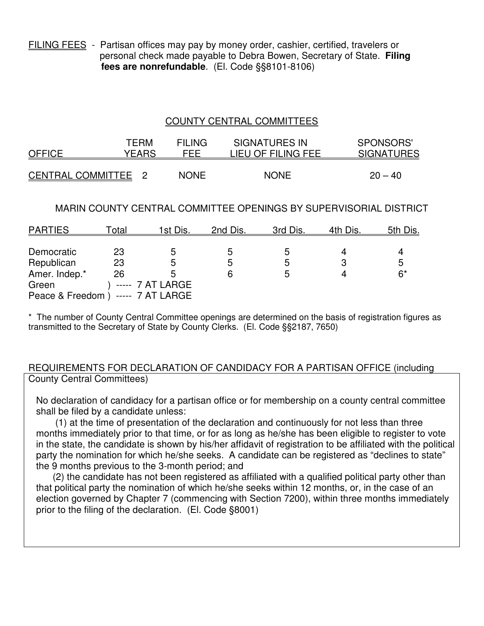FILING FEES - Partisan offices may pay by money order, cashier, certified, travelers or personal check made payable to Debra Bowen, Secretary of State. **Filing fees are nonrefundable**. (El. Code §§8101-8106)

#### COUNTY CENTRAL COMMITTEES

| <b>OFFICE</b>       | TFRM  | FII ING     | <b>SIGNATURES IN</b> | SPONSORS'         |
|---------------------|-------|-------------|----------------------|-------------------|
|                     | YEARS | FFF         | LIEU OF FILING FEE   | <b>SIGNATURES</b> |
| CENTRAL COMMITTEE 2 |       | <b>NONE</b> | <b>NONE</b>          | $20 - 40$         |

#### MARIN COUNTY CENTRAL COMMITTEE OPENINGS BY SUPERVISORIAL DISTRICT

| <b>PARTIES</b>                     | <u>Total_</u> | <u>1st Dis.</u>  | 2nd Dis. | 3rd Dis. | 4th Dis. | <u>5th Dis.</u> |
|------------------------------------|---------------|------------------|----------|----------|----------|-----------------|
|                                    |               |                  |          |          |          |                 |
| Democratic                         | 23            | .5               | .5       |          |          |                 |
| Republican                         | 23            | 5                | ხ        | b        |          | ხ               |
| Amer. Indep.*                      | 26            | 5                |          | 5        |          | $6*$            |
| Green                              |               | ----- 7 AT LARGE |          |          |          |                 |
| Peace & Freedom ) ----- 7 AT LARGE |               |                  |          |          |          |                 |

The number of County Central Committee openings are determined on the basis of registration figures as transmitted to the Secretary of State by County Clerks. (El. Code §§2187, 7650)

#### REQUIREMENTS FOR DECLARATION OF CANDIDACY FOR A PARTISAN OFFICE (including County Central Committees)

No declaration of candidacy for a partisan office or for membership on a county central committee shall be filed by a candidate unless:

 (1) at the time of presentation of the declaration and continuously for not less than three months immediately prior to that time, or for as long as he/she has been eligible to register to vote in the state, the candidate is shown by his/her affidavit of registration to be affiliated with the political party the nomination for which he/she seeks. A candidate can be registered as "declines to state" the 9 months previous to the 3-month period; and

(2) the candidate has not been registered as affiliated with a qualified political party other than that political party the nomination of which he/she seeks within 12 months, or, in the case of an election governed by Chapter 7 (commencing with Section 7200), within three months immediately prior to the filing of the declaration. (El. Code §8001)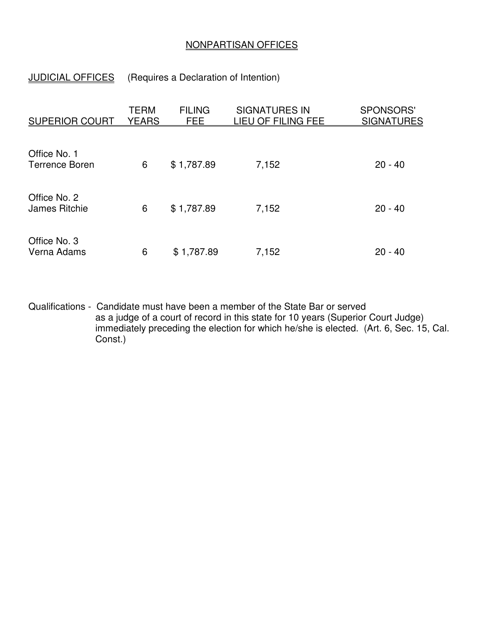#### NONPARTISAN OFFICES

#### JUDICIAL OFFICES (Requires a Declaration of Intention)

| <b>SUPERIOR COURT</b>                | TERM<br><b>YEARS</b> | <b>FILING</b><br>FEE | <b>SIGNATURES IN</b><br><u>LIEU OF FILING FEE</u> | SPONSORS'<br><b>SIGNATURES</b> |
|--------------------------------------|----------------------|----------------------|---------------------------------------------------|--------------------------------|
| Office No. 1                         |                      |                      |                                                   |                                |
| <b>Terrence Boren</b>                | 6                    | \$1,787.89           | 7,152                                             | $20 - 40$                      |
| Office No. 2<br><b>James Ritchie</b> | 6                    | \$1,787.89           | 7,152                                             | $20 - 40$                      |
| Office No. 3<br>Verna Adams          | 6                    | \$1,787.89           | 7,152                                             | $20 - 40$                      |

Qualifications - Candidate must have been a member of the State Bar or served as a judge of a court of record in this state for 10 years (Superior Court Judge) immediately preceding the election for which he/she is elected. (Art. 6, Sec. 15, Cal. Const.)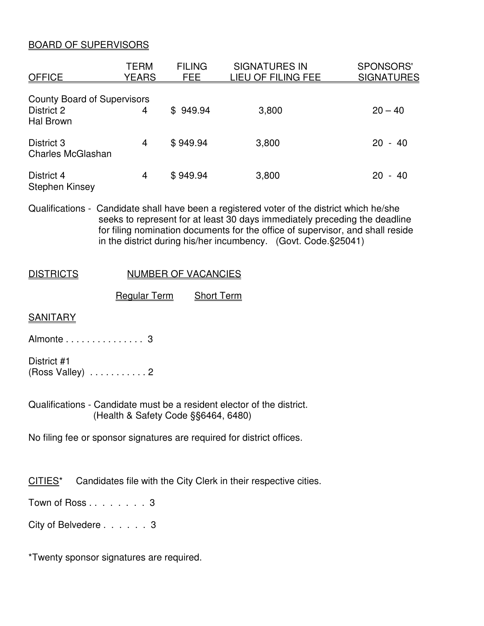#### BOARD OF SUPERVISORS

| <b>OFFICE</b>                                                        | TERM<br><u>YEARS</u> | <b>FILING</b><br><b>FEE</b> | <b>SIGNATURES IN</b><br><u>LIEU OF FILING FEE</u> | <b>SPONSORS'</b><br><b>SIGNATURES</b> |
|----------------------------------------------------------------------|----------------------|-----------------------------|---------------------------------------------------|---------------------------------------|
| <b>County Board of Supervisors</b><br>District 2<br><b>Hal Brown</b> | 4                    | \$949.94                    | 3,800                                             | $20 - 40$                             |
| District 3<br><b>Charles McGlashan</b>                               | 4                    | \$949.94                    | 3,800                                             | 20<br>- 40                            |
| District 4<br><b>Stephen Kinsey</b>                                  | 4                    | \$949.94                    | 3,800                                             | 20<br>40<br>$\sim$                    |

Qualifications - Candidate shall have been a registered voter of the district which he/she seeks to represent for at least 30 days immediately preceding the deadline for filing nomination documents for the office of supervisor, and shall reside in the district during his/her incumbency. (Govt. Code.§25041)

#### DISTRICTS NUMBER OF VACANCIES

Regular Term Short Term

#### **SANITARY**

Almonte . . . . . . . . . . . . . . . 3

District #1 (Ross Valley) . . . . . . . . . . . 2

Qualifications - Candidate must be a resident elector of the district. (Health & Safety Code §§6464, 6480)

No filing fee or sponsor signatures are required for district offices.

CITIES\* Candidates file with the City Clerk in their respective cities.

Town of Ross . . . . . . . . 3

City of Belvedere . . . . . . 3

\*Twenty sponsor signatures are required.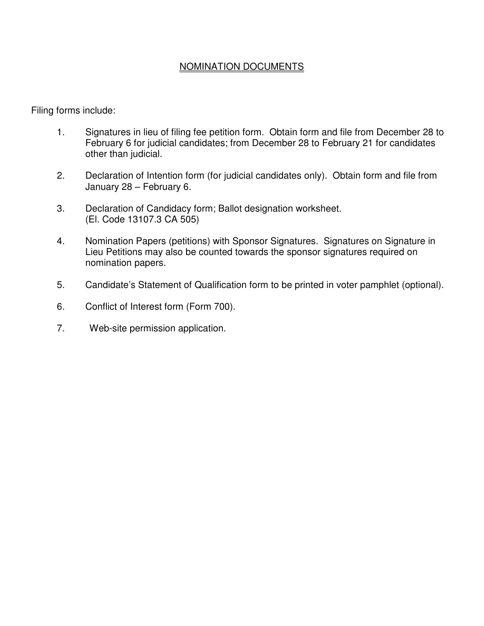#### NOMINATION DOCUMENTS

Filing forms include:

- 1. Signatures in lieu of filing fee petition form. Obtain form and file from December 28 to February 6 for judicial candidates; from December 28 to February 21 for candidates other than judicial.
- 2. Declaration of Intention form (for judicial candidates only). Obtain form and file from January 28 – February 6.
- 3. Declaration of Candidacy form; Ballot designation worksheet. (El. Code 13107.3 CA 505)
- 4. Nomination Papers (petitions) with Sponsor Signatures. Signatures on Signature in Lieu Petitions may also be counted towards the sponsor signatures required on nomination papers.
- 5. Candidate's Statement of Qualification form to be printed in voter pamphlet (optional).
- 6. Conflict of Interest form (Form 700).
- 7. Web-site permission application.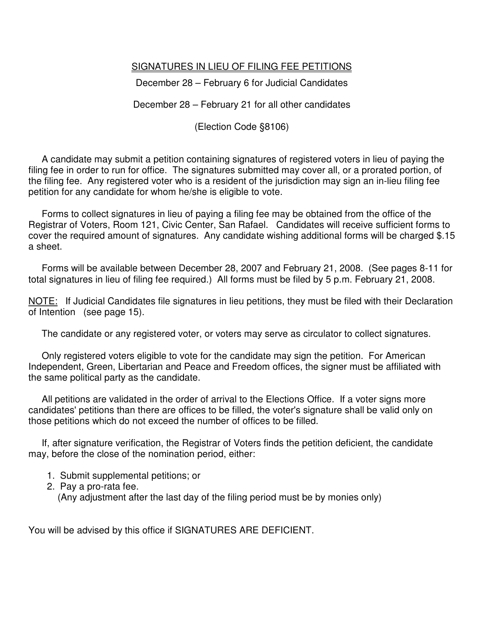#### SIGNATURES IN LIEU OF FILING FEE PETITIONS

December 28 – February 6 for Judicial Candidates

December 28 – February 21 for all other candidates

(Election Code §8106)

 A candidate may submit a petition containing signatures of registered voters in lieu of paying the filing fee in order to run for office. The signatures submitted may cover all, or a prorated portion, of the filing fee. Any registered voter who is a resident of the jurisdiction may sign an in-lieu filing fee petition for any candidate for whom he/she is eligible to vote.

 Forms to collect signatures in lieu of paying a filing fee may be obtained from the office of the Registrar of Voters, Room 121, Civic Center, San Rafael. Candidates will receive sufficient forms to cover the required amount of signatures. Any candidate wishing additional forms will be charged \$.15 a sheet.

 Forms will be available between December 28, 2007 and February 21, 2008. (See pages 8-11 for total signatures in lieu of filing fee required.) All forms must be filed by 5 p.m. February 21, 2008.

NOTE: If Judicial Candidates file signatures in lieu petitions, they must be filed with their Declaration of Intention (see page 15).

The candidate or any registered voter, or voters may serve as circulator to collect signatures.

 Only registered voters eligible to vote for the candidate may sign the petition. For American Independent, Green, Libertarian and Peace and Freedom offices, the signer must be affiliated with the same political party as the candidate.

 All petitions are validated in the order of arrival to the Elections Office. If a voter signs more candidates' petitions than there are offices to be filled, the voter's signature shall be valid only on those petitions which do not exceed the number of offices to be filled.

 If, after signature verification, the Registrar of Voters finds the petition deficient, the candidate may, before the close of the nomination period, either:

- 1. Submit supplemental petitions; or
- 2. Pay a pro-rata fee.

(Any adjustment after the last day of the filing period must be by monies only)

You will be advised by this office if SIGNATURES ARE DEFICIENT.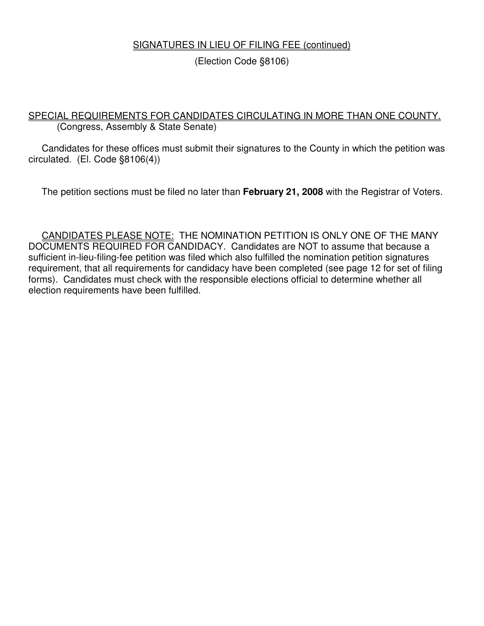#### SIGNATURES IN LIEU OF FILING FEE (continued)

(Election Code §8106)

#### SPECIAL REQUIREMENTS FOR CANDIDATES CIRCULATING IN MORE THAN ONE COUNTY. (Congress, Assembly & State Senate)

 Candidates for these offices must submit their signatures to the County in which the petition was circulated. (El. Code §8106(4))

The petition sections must be filed no later than **February 21, 2008** with the Registrar of Voters.

 CANDIDATES PLEASE NOTE: THE NOMINATION PETITION IS ONLY ONE OF THE MANY DOCUMENTS REQUIRED FOR CANDIDACY. Candidates are NOT to assume that because a sufficient in-lieu-filing-fee petition was filed which also fulfilled the nomination petition signatures requirement, that all requirements for candidacy have been completed (see page 12 for set of filing forms). Candidates must check with the responsible elections official to determine whether all election requirements have been fulfilled.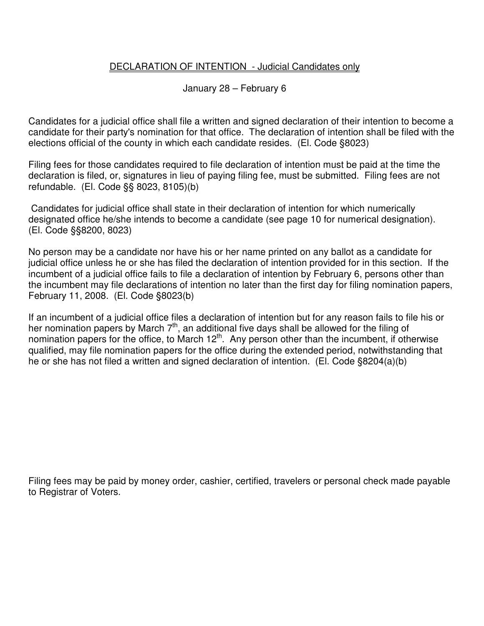#### DECLARATION OF INTENTION - Judicial Candidates only

January 28 – February 6

Candidates for a judicial office shall file a written and signed declaration of their intention to become a candidate for their party's nomination for that office. The declaration of intention shall be filed with the elections official of the county in which each candidate resides. (El. Code §8023)

Filing fees for those candidates required to file declaration of intention must be paid at the time the declaration is filed, or, signatures in lieu of paying filing fee, must be submitted. Filing fees are not refundable. (El. Code §§ 8023, 8105)(b)

 Candidates for judicial office shall state in their declaration of intention for which numerically designated office he/she intends to become a candidate (see page 10 for numerical designation). (El. Code §§8200, 8023)

No person may be a candidate nor have his or her name printed on any ballot as a candidate for judicial office unless he or she has filed the declaration of intention provided for in this section. If the incumbent of a judicial office fails to file a declaration of intention by February 6, persons other than the incumbent may file declarations of intention no later than the first day for filing nomination papers, February 11, 2008. (El. Code §8023(b)

If an incumbent of a judicial office files a declaration of intention but for any reason fails to file his or her nomination papers by March 7<sup>th</sup>, an additional five days shall be allowed for the filing of nomination papers for the office, to March  $12<sup>th</sup>$ . Any person other than the incumbent, if otherwise qualified, may file nomination papers for the office during the extended period, notwithstanding that he or she has not filed a written and signed declaration of intention. (El. Code §8204(a)(b)

Filing fees may be paid by money order, cashier, certified, travelers or personal check made payable to Registrar of Voters.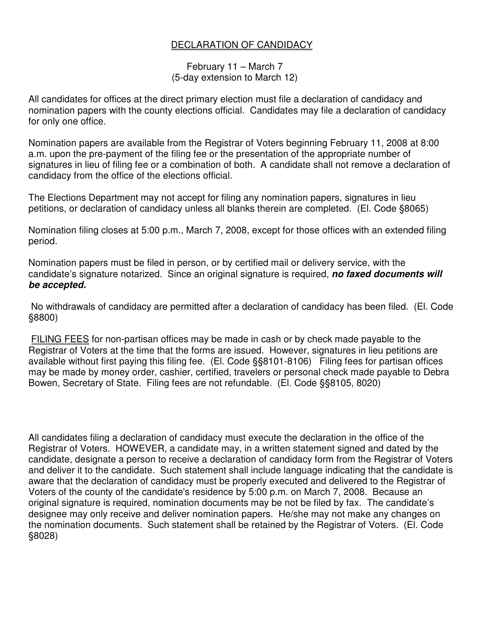#### DECLARATION OF CANDIDACY

February 11 – March 7 (5-day extension to March 12)

All candidates for offices at the direct primary election must file a declaration of candidacy and nomination papers with the county elections official. Candidates may file a declaration of candidacy for only one office.

Nomination papers are available from the Registrar of Voters beginning February 11, 2008 at 8:00 a.m. upon the pre-payment of the filing fee or the presentation of the appropriate number of signatures in lieu of filing fee or a combination of both. A candidate shall not remove a declaration of candidacy from the office of the elections official.

The Elections Department may not accept for filing any nomination papers, signatures in lieu petitions, or declaration of candidacy unless all blanks therein are completed. (El. Code §8065)

Nomination filing closes at 5:00 p.m., March 7, 2008, except for those offices with an extended filing period.

Nomination papers must be filed in person, or by certified mail or delivery service, with the candidate's signature notarized. Since an original signature is required, *no faxed documents will be accepted.* 

 No withdrawals of candidacy are permitted after a declaration of candidacy has been filed. (El. Code §8800)

 FILING FEES for non-partisan offices may be made in cash or by check made payable to the Registrar of Voters at the time that the forms are issued. However, signatures in lieu petitions are available without first paying this filing fee. (El. Code §§8101-8106) Filing fees for partisan offices may be made by money order, cashier, certified, travelers or personal check made payable to Debra Bowen, Secretary of State. Filing fees are not refundable. (El. Code §§8105, 8020)

All candidates filing a declaration of candidacy must execute the declaration in the office of the Registrar of Voters. HOWEVER, a candidate may, in a written statement signed and dated by the candidate, designate a person to receive a declaration of candidacy form from the Registrar of Voters and deliver it to the candidate. Such statement shall include language indicating that the candidate is aware that the declaration of candidacy must be properly executed and delivered to the Registrar of Voters of the county of the candidate's residence by 5:00 p.m. on March 7, 2008. Because an original signature is required, nomination documents may be not be filed by fax. The candidate's designee may only receive and deliver nomination papers. He/she may not make any changes on the nomination documents. Such statement shall be retained by the Registrar of Voters. (El. Code §8028)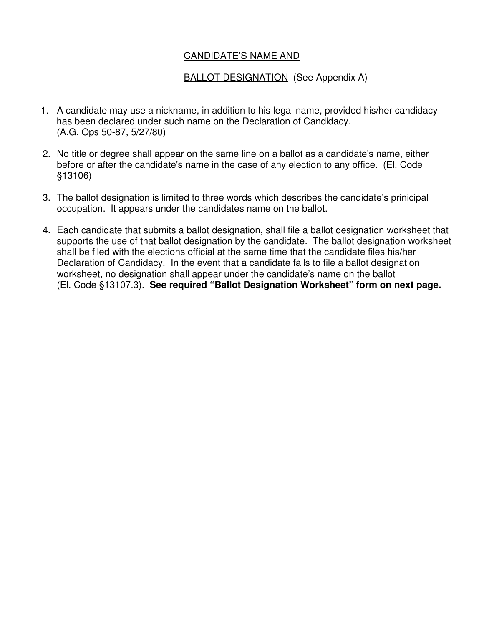#### CANDIDATE'S NAME AND

#### BALLOT DESIGNATION (See Appendix A)

- 1. A candidate may use a nickname, in addition to his legal name, provided his/her candidacy has been declared under such name on the Declaration of Candidacy. (A.G. Ops 50-87, 5/27/80)
- 2. No title or degree shall appear on the same line on a ballot as a candidate's name, either before or after the candidate's name in the case of any election to any office. (El. Code §13106)
- 3. The ballot designation is limited to three words which describes the candidate's prinicipal occupation. It appears under the candidates name on the ballot.
- 4. Each candidate that submits a ballot designation, shall file a ballot designation worksheet that supports the use of that ballot designation by the candidate. The ballot designation worksheet shall be filed with the elections official at the same time that the candidate files his/her Declaration of Candidacy. In the event that a candidate fails to file a ballot designation worksheet, no designation shall appear under the candidate's name on the ballot (El. Code §13107.3). **See required "Ballot Designation Worksheet" form on next page.**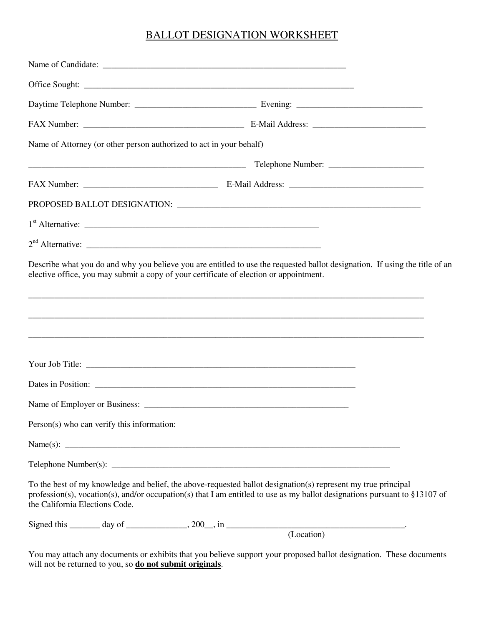#### BALLOT DESIGNATION WORKSHEET

| Name of Attorney (or other person authorized to act in your behalf)                                                                                                                                                                                                           |                                                                                  |  |
|-------------------------------------------------------------------------------------------------------------------------------------------------------------------------------------------------------------------------------------------------------------------------------|----------------------------------------------------------------------------------|--|
|                                                                                                                                                                                                                                                                               |                                                                                  |  |
|                                                                                                                                                                                                                                                                               |                                                                                  |  |
|                                                                                                                                                                                                                                                                               |                                                                                  |  |
|                                                                                                                                                                                                                                                                               |                                                                                  |  |
|                                                                                                                                                                                                                                                                               |                                                                                  |  |
| Describe what you do and why you believe you are entitled to use the requested ballot designation. If using the title of an<br>elective office, you may submit a copy of your certificate of election or appointment.                                                         | ,我们也不能在这里的时候,我们也不能在这里的时候,我们也不能在这里的时候,我们也不能会在这里,我们也不能会在这里,我们也不能会在这里,我们也不能会在这里,我们也 |  |
|                                                                                                                                                                                                                                                                               |                                                                                  |  |
|                                                                                                                                                                                                                                                                               |                                                                                  |  |
|                                                                                                                                                                                                                                                                               |                                                                                  |  |
| Person(s) who can verify this information:                                                                                                                                                                                                                                    |                                                                                  |  |
|                                                                                                                                                                                                                                                                               |                                                                                  |  |
|                                                                                                                                                                                                                                                                               |                                                                                  |  |
| To the best of my knowledge and belief, the above-requested ballot designation(s) represent my true principal<br>profession(s), vocation(s), and/or occupation(s) that I am entitled to use as my ballot designations pursuant to §13107 of<br>the California Elections Code. |                                                                                  |  |
|                                                                                                                                                                                                                                                                               |                                                                                  |  |

You may attach any documents or exhibits that you believe support your proposed ballot designation. These documents will not be returned to you, so **do not submit originals**.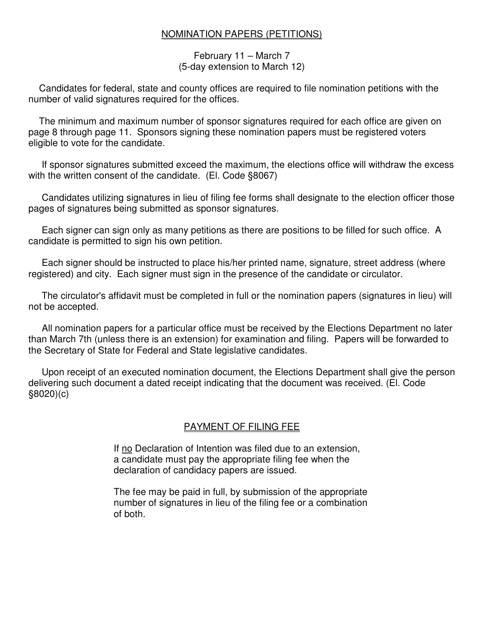#### NOMINATION PAPERS (PETITIONS)

#### February 11 – March 7 (5-day extension to March 12)

 Candidates for federal, state and county offices are required to file nomination petitions with the number of valid signatures required for the offices.

 The minimum and maximum number of sponsor signatures required for each office are given on page 8 through page 11. Sponsors signing these nomination papers must be registered voters eligible to vote for the candidate.

 If sponsor signatures submitted exceed the maximum, the elections office will withdraw the excess with the written consent of the candidate. (El. Code §8067)

 Candidates utilizing signatures in lieu of filing fee forms shall designate to the election officer those pages of signatures being submitted as sponsor signatures.

 Each signer can sign only as many petitions as there are positions to be filled for such office. A candidate is permitted to sign his own petition.

 Each signer should be instructed to place his/her printed name, signature, street address (where registered) and city. Each signer must sign in the presence of the candidate or circulator.

 The circulator's affidavit must be completed in full or the nomination papers (signatures in lieu) will not be accepted.

 All nomination papers for a particular office must be received by the Elections Department no later than March 7th (unless there is an extension) for examination and filing. Papers will be forwarded to the Secretary of State for Federal and State legislative candidates.

 Upon receipt of an executed nomination document, the Elections Department shall give the person delivering such document a dated receipt indicating that the document was received. (El. Code §8020)(c)

#### PAYMENT OF FILING FEE

If no Declaration of Intention was filed due to an extension, a candidate must pay the appropriate filing fee when the declaration of candidacy papers are issued.

 The fee may be paid in full, by submission of the appropriate number of signatures in lieu of the filing fee or a combination of both.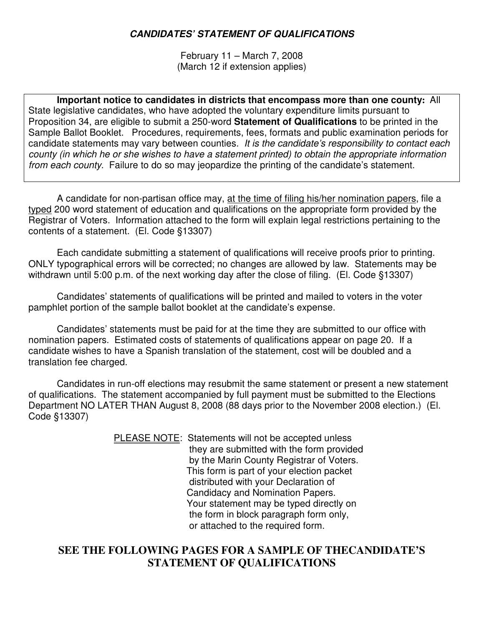#### *CANDIDATES' STATEMENT OF QUALIFICATIONS*

February 11 – March 7, 2008 (March 12 if extension applies)

**Important notice to candidates in districts that encompass more than one county:** All State legislative candidates, who have adopted the voluntary expenditure limits pursuant to Proposition 34, are eligible to submit a 250-word **Statement of Qualifications** to be printed in the Sample Ballot Booklet. Procedures, requirements, fees, formats and public examination periods for candidate statements may vary between counties*. It is the candidate's responsibility to contact each county (in which he or she wishes to have a statement printed) to obtain the appropriate information from each county*. Failure to do so may jeopardize the printing of the candidate's statement.

 A candidate for non-partisan office may, at the time of filing his/her nomination papers, file a typed 200 word statement of education and qualifications on the appropriate form provided by the Registrar of Voters. Information attached to the form will explain legal restrictions pertaining to the contents of a statement. (El. Code §13307)

 Each candidate submitting a statement of qualifications will receive proofs prior to printing. ONLY typographical errors will be corrected; no changes are allowed by law. Statements may be withdrawn until 5:00 p.m. of the next working day after the close of filing. (El. Code §13307)

 Candidates' statements of qualifications will be printed and mailed to voters in the voter pamphlet portion of the sample ballot booklet at the candidate's expense.

 Candidates' statements must be paid for at the time they are submitted to our office with nomination papers. Estimated costs of statements of qualifications appear on page 20. If a candidate wishes to have a Spanish translation of the statement, cost will be doubled and a translation fee charged.

 Candidates in run-off elections may resubmit the same statement or present a new statement of qualifications. The statement accompanied by full payment must be submitted to the Elections Department NO LATER THAN August 8, 2008 (88 days prior to the November 2008 election.) (El. Code §13307)

> PLEASE NOTE: Statements will not be accepted unless they are submitted with the form provided by the Marin County Registrar of Voters. This form is part of your election packet distributed with your Declaration of Candidacy and Nomination Papers. Your statement may be typed directly on the form in block paragraph form only, or attached to the required form.

#### **SEE THE FOLLOWING PAGES FOR A SAMPLE OF THECANDIDATE'S STATEMENT OF QUALIFICATIONS**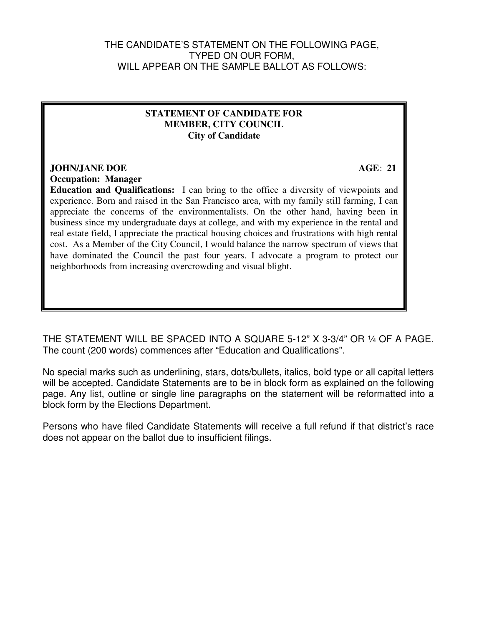#### THE CANDIDATE'S STATEMENT ON THE FOLLOWING PAGE, TYPED ON OUR FORM, WILL APPEAR ON THE SAMPLE BALLOT AS FOLLOWS:

#### **STATEMENT OF CANDIDATE FOR MEMBER, CITY COUNCIL City of Candidate**

#### **JOHN/JANE DOE AGE: 21**

**Occupation: Manager** 

**Education and Qualifications:** I can bring to the office a diversity of viewpoints and experience. Born and raised in the San Francisco area, with my family still farming, I can appreciate the concerns of the environmentalists. On the other hand, having been in business since my undergraduate days at college, and with my experience in the rental and real estate field, I appreciate the practical housing choices and frustrations with high rental cost. As a Member of the City Council, I would balance the narrow spectrum of views that have dominated the Council the past four years. I advocate a program to protect our neighborhoods from increasing overcrowding and visual blight.

THE STATEMENT WILL BE SPACED INTO A SQUARE 5-12" X 3-3/4" OR ¼ OF A PAGE. The count (200 words) commences after "Education and Qualifications".

No special marks such as underlining, stars, dots/bullets, italics, bold type or all capital letters will be accepted. Candidate Statements are to be in block form as explained on the following page. Any list, outline or single line paragraphs on the statement will be reformatted into a block form by the Elections Department.

Persons who have filed Candidate Statements will receive a full refund if that district's race does not appear on the ballot due to insufficient filings.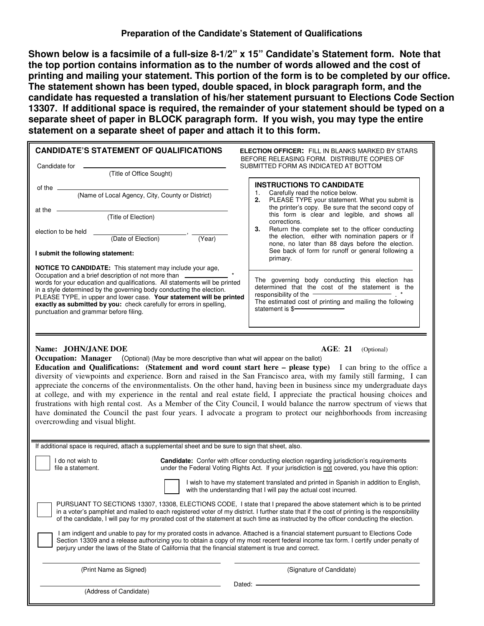**Shown below is a facsimile of a full-size 8-1/2" x 15" Candidate's Statement form. Note that the top portion contains information as to the number of words allowed and the cost of printing and mailing your statement. This portion of the form is to be completed by our office. The statement shown has been typed, double spaced, in block paragraph form, and the candidate has requested a translation of his/her statement pursuant to Elections Code Section 13307. If additional space is required, the remainder of your statement should be typed on a separate sheet of paper in BLOCK paragraph form. If you wish, you may type the entire statement on a separate sheet of paper and attach it to this form.**

| <b>CANDIDATE'S STATEMENT OF QUALIFICATIONS</b><br>Candidate for                                                                                                                                                                                                                                                                                                                                                                                                                                       | <b>ELECTION OFFICER:</b> FILL IN BLANKS MARKED BY STARS<br>BEFORE RELEASING FORM. DISTRIBUTE COPIES OF<br>SUBMITTED FORM AS INDICATED AT BOTTOM                                                              |
|-------------------------------------------------------------------------------------------------------------------------------------------------------------------------------------------------------------------------------------------------------------------------------------------------------------------------------------------------------------------------------------------------------------------------------------------------------------------------------------------------------|--------------------------------------------------------------------------------------------------------------------------------------------------------------------------------------------------------------|
| (Title of Office Sought)                                                                                                                                                                                                                                                                                                                                                                                                                                                                              |                                                                                                                                                                                                              |
| of the $\overline{\qquad \qquad }$                                                                                                                                                                                                                                                                                                                                                                                                                                                                    | <b>INSTRUCTIONS TO CANDIDATE</b><br>Carefully read the notice below.                                                                                                                                         |
| (Name of Local Agency, City, County or District)<br>at the                                                                                                                                                                                                                                                                                                                                                                                                                                            | PLEASE TYPE your statement. What you submit is<br>2.<br>the printer's copy. Be sure that the second copy of                                                                                                  |
| (Title of Election)                                                                                                                                                                                                                                                                                                                                                                                                                                                                                   | this form is clear and legible, and shows all<br>corrections.                                                                                                                                                |
| election to be held<br>(Date of Election)<br>(Year)                                                                                                                                                                                                                                                                                                                                                                                                                                                   | Return the complete set to the officer conducting<br>3.<br>the election, either with nomination papers or if<br>none, no later than 88 days before the election.                                             |
| I submit the following statement:                                                                                                                                                                                                                                                                                                                                                                                                                                                                     | See back of form for runoff or general following a<br>primary.                                                                                                                                               |
| <b>NOTICE TO CANDIDATE:</b> This statement may include your age,<br>Occupation and a brief description of not more than ____________________________<br>words for your education and qualifications. All statements will be printed<br>in a style determined by the governing body conducting the election.<br>PLEASE TYPE, in upper and lower case. Your statement will be printed<br>exactly as submitted by you: check carefully for errors in spelling,<br>punctuation and grammar before filing. | The governing body conducting this election has<br>determined that the cost of the statement is the<br>responsibility of the<br>The estimated cost of printing and mailing the following<br>statement is \$- |
|                                                                                                                                                                                                                                                                                                                                                                                                                                                                                                       |                                                                                                                                                                                                              |

#### **Name: JOHN/JANE DOE AGE: 21** (Optional)

**Occupation: Manager** (Optional) (May be more descriptive than what will appear on the ballot)

**Education and Qualifications: (Statement and word count start here – please type)** I can bring to the office a diversity of viewpoints and experience. Born and raised in the San Francisco area, with my family still farming, I can appreciate the concerns of the environmentalists. On the other hand, having been in business since my undergraduate days at college, and with my experience in the rental and real estate field, I appreciate the practical housing choices and frustrations with high rental cost. As a Member of the City Council, I would balance the narrow spectrum of views that have dominated the Council the past four years. I advocate a program to protect our neighborhoods from increasing overcrowding and visual blight.

| If additional space is required, attach a supplemental sheet and be sure to sign that sheet, also.                                                                                                                                                                                                                                                                                                             |                                                                                                                                                                                                    |  |  |
|----------------------------------------------------------------------------------------------------------------------------------------------------------------------------------------------------------------------------------------------------------------------------------------------------------------------------------------------------------------------------------------------------------------|----------------------------------------------------------------------------------------------------------------------------------------------------------------------------------------------------|--|--|
| I do not wish to<br>file a statement.                                                                                                                                                                                                                                                                                                                                                                          | <b>Candidate:</b> Confer with officer conducting election regarding jurisdiction's requirements<br>under the Federal Voting Rights Act. If your jurisdiction is not covered, you have this option: |  |  |
|                                                                                                                                                                                                                                                                                                                                                                                                                | I wish to have my statement translated and printed in Spanish in addition to English,<br>with the understanding that I will pay the actual cost incurred.                                          |  |  |
| PURSUANT TO SECTIONS 13307, 13308, ELECTIONS CODE, I state that I prepared the above statement which is to be printed<br>in a voter's pamphlet and mailed to each registered voter of my district. I further state that if the cost of printing is the responsibility<br>of the candidate, I will pay for my prorated cost of the statement at such time as instructed by the officer conducting the election. |                                                                                                                                                                                                    |  |  |
| am indigent and unable to pay for my prorated costs in advance. Attached is a financial statement pursuant to Elections Code<br>Section 13309 and a release authorizing you to obtain a copy of my most recent federal income tax form. I certify under penalty of<br>perjury under the laws of the State of California that the financial statement is true and correct.                                      |                                                                                                                                                                                                    |  |  |
| (Print Name as Signed)                                                                                                                                                                                                                                                                                                                                                                                         | (Signature of Candidate)                                                                                                                                                                           |  |  |
| (Address of Candidate)                                                                                                                                                                                                                                                                                                                                                                                         | Dated                                                                                                                                                                                              |  |  |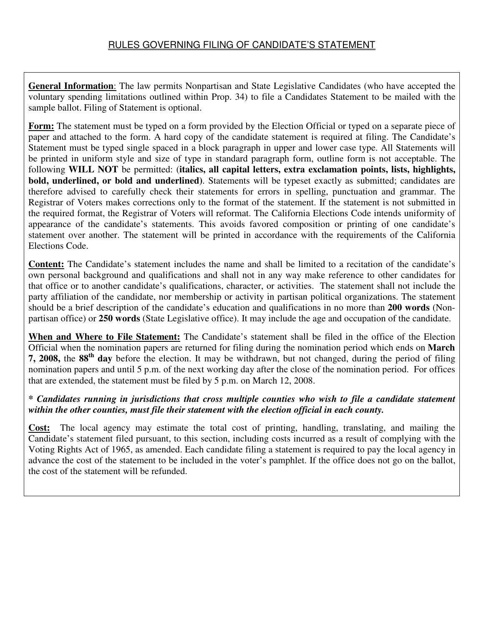#### RULES GOVERNING FILING OF CANDIDATE'S STATEMENT

**General Information**: The law permits Nonpartisan and State Legislative Candidates (who have accepted the voluntary spending limitations outlined within Prop. 34) to file a Candidates Statement to be mailed with the sample ballot. Filing of Statement is optional.

**Form:** The statement must be typed on a form provided by the Election Official or typed on a separate piece of paper and attached to the form. A hard copy of the candidate statement is required at filing. The Candidate's Statement must be typed single spaced in a block paragraph in upper and lower case type. All Statements will be printed in uniform style and size of type in standard paragraph form, outline form is not acceptable. The following **WILL NOT** be permitted: (**italics, all capital letters, extra exclamation points, lists, highlights, bold, underlined, or bold and underlined)**. Statements will be typeset exactly as submitted; candidates are therefore advised to carefully check their statements for errors in spelling, punctuation and grammar. The Registrar of Voters makes corrections only to the format of the statement. If the statement is not submitted in the required format, the Registrar of Voters will reformat. The California Elections Code intends uniformity of appearance of the candidate's statements. This avoids favored composition or printing of one candidate's statement over another. The statement will be printed in accordance with the requirements of the California Elections Code.

**Content:** The Candidate's statement includes the name and shall be limited to a recitation of the candidate's own personal background and qualifications and shall not in any way make reference to other candidates for that office or to another candidate's qualifications, character, or activities. The statement shall not include the party affiliation of the candidate, nor membership or activity in partisan political organizations. The statement should be a brief description of the candidate's education and qualifications in no more than **200 words** (Nonpartisan office) or **250 words** (State Legislative office). It may include the age and occupation of the candidate.

**When and Where to File Statement:** The Candidate's statement shall be filed in the office of the Election Official when the nomination papers are returned for filing during the nomination period which ends on **March 7, 2008,** the **88th day** before the election. It may be withdrawn, but not changed, during the period of filing nomination papers and until 5 p.m. of the next working day after the close of the nomination period. For offices that are extended, the statement must be filed by 5 p.m. on March 12, 2008.

#### *\* Candidates running in jurisdictions that cross multiple counties who wish to file a candidate statement within the other counties, must file their statement with the election official in each county.*

**Cost:** The local agency may estimate the total cost of printing, handling, translating, and mailing the Candidate's statement filed pursuant, to this section, including costs incurred as a result of complying with the Voting Rights Act of 1965, as amended. Each candidate filing a statement is required to pay the local agency in advance the cost of the statement to be included in the voter's pamphlet. If the office does not go on the ballot, the cost of the statement will be refunded.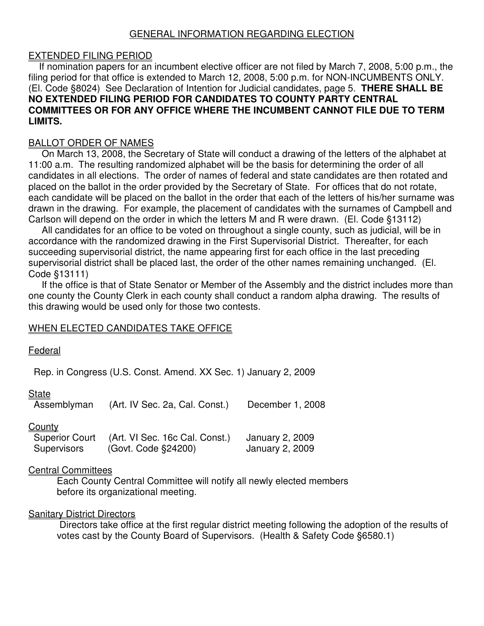#### GENERAL INFORMATION REGARDING ELECTION

#### EXTENDED FILING PERIOD

 If nomination papers for an incumbent elective officer are not filed by March 7, 2008, 5:00 p.m., the filing period for that office is extended to March 12, 2008, 5:00 p.m. for NON-INCUMBENTS ONLY. (El. Code §8024) See Declaration of Intention for Judicial candidates, page 5. **THERE SHALL BE NO EXTENDED FILING PERIOD FOR CANDIDATES TO COUNTY PARTY CENTRAL COMMITTEES OR FOR ANY OFFICE WHERE THE INCUMBENT CANNOT FILE DUE TO TERM LIMITS.**

#### BALLOT ORDER OF NAMES

 On March 13, 2008, the Secretary of State will conduct a drawing of the letters of the alphabet at 11:00 a.m. The resulting randomized alphabet will be the basis for determining the order of all candidates in all elections. The order of names of federal and state candidates are then rotated and placed on the ballot in the order provided by the Secretary of State. For offices that do not rotate, each candidate will be placed on the ballot in the order that each of the letters of his/her surname was drawn in the drawing. For example, the placement of candidates with the surnames of Campbell and Carlson will depend on the order in which the letters M and R were drawn. (El. Code §13112)

 All candidates for an office to be voted on throughout a single county, such as judicial, will be in accordance with the randomized drawing in the First Supervisorial District. Thereafter, for each succeeding supervisorial district, the name appearing first for each office in the last preceding supervisorial district shall be placed last, the order of the other names remaining unchanged. (El. Code §13111)

 If the office is that of State Senator or Member of the Assembly and the district includes more than one county the County Clerk in each county shall conduct a random alpha drawing. The results of this drawing would be used only for those two contests.

#### WHEN ELECTED CANDIDATES TAKE OFFICE

#### **Federal**

Rep. in Congress (U.S. Const. Amend. XX Sec. 1) January 2, 2009

#### **State**

|               | Assemblyman (Art. IV Sec. 2a, Cal. Const.) December 1, 2008 |  |
|---------------|-------------------------------------------------------------|--|
| <u>County</u> |                                                             |  |

| <b>Superior Court</b> | (Art. VI Sec. 16c Cal. Const.) | January 2, 2009 |
|-----------------------|--------------------------------|-----------------|
| Supervisors           | (Govt. Code §24200)            | January 2, 2009 |

#### Central Committees

Each County Central Committee will notify all newly elected members before its organizational meeting.

#### Sanitary District Directors

 Directors take office at the first regular district meeting following the adoption of the results of votes cast by the County Board of Supervisors. (Health & Safety Code §6580.1)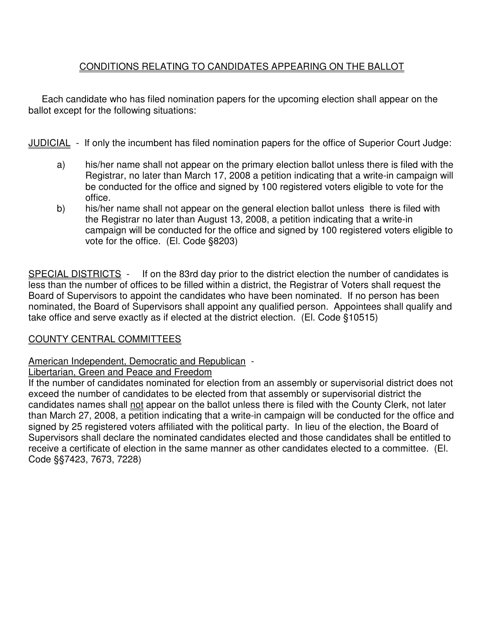#### CONDITIONS RELATING TO CANDIDATES APPEARING ON THE BALLOT

 Each candidate who has filed nomination papers for the upcoming election shall appear on the ballot except for the following situations:

JUDICIAL - If only the incumbent has filed nomination papers for the office of Superior Court Judge:

- a) his/her name shall not appear on the primary election ballot unless there is filed with the Registrar, no later than March 17, 2008 a petition indicating that a write-in campaign will be conducted for the office and signed by 100 registered voters eligible to vote for the office.
- b) his/her name shall not appear on the general election ballot unless there is filed with the Registrar no later than August 13, 2008, a petition indicating that a write-in campaign will be conducted for the office and signed by 100 registered voters eligible to vote for the office. (El. Code §8203)

SPECIAL DISTRICTS - If on the 83rd day prior to the district election the number of candidates is less than the number of offices to be filled within a district, the Registrar of Voters shall request the Board of Supervisors to appoint the candidates who have been nominated. If no person has been nominated, the Board of Supervisors shall appoint any qualified person. Appointees shall qualify and take office and serve exactly as if elected at the district election. (El. Code §10515)

#### COUNTY CENTRAL COMMITTEES

American Independent, Democratic and Republican -

#### Libertarian, Green and Peace and Freedom

If the number of candidates nominated for election from an assembly or supervisorial district does not exceed the number of candidates to be elected from that assembly or supervisorial district the candidates names shall not appear on the ballot unless there is filed with the County Clerk, not later than March 27, 2008, a petition indicating that a write-in campaign will be conducted for the office and signed by 25 registered voters affiliated with the political party. In lieu of the election, the Board of Supervisors shall declare the nominated candidates elected and those candidates shall be entitled to receive a certificate of election in the same manner as other candidates elected to a committee. (El. Code §§7423, 7673, 7228)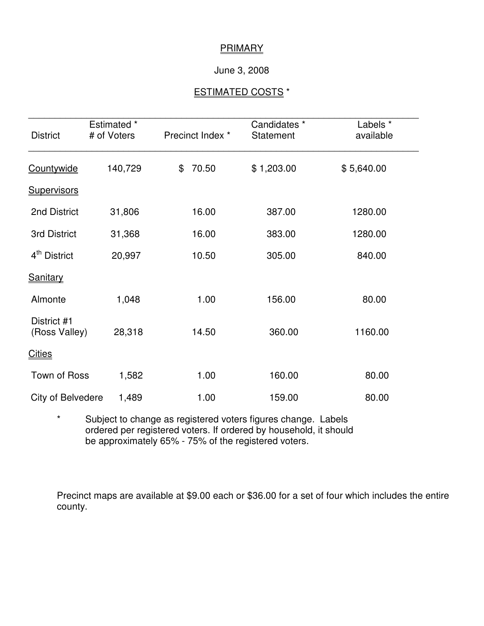#### **PRIMARY**

#### June 3, 2008

#### ESTIMATED COSTS \*

| <b>District</b>              | Estimated *<br># of Voters | Precinct Index * | Candidates *<br><b>Statement</b> | Labels *<br>available |
|------------------------------|----------------------------|------------------|----------------------------------|-----------------------|
| Countywide                   | 140,729                    | 70.50<br>\$      | \$1,203.00                       | \$5,640.00            |
| <b>Supervisors</b>           |                            |                  |                                  |                       |
| 2nd District                 | 31,806                     | 16.00            | 387.00                           | 1280.00               |
| 3rd District                 | 31,368                     | 16.00            | 383.00                           | 1280.00               |
| 4 <sup>th</sup> District     | 20,997                     | 10.50            | 305.00                           | 840.00                |
| <b>Sanitary</b>              |                            |                  |                                  |                       |
| Almonte                      | 1,048                      | 1.00             | 156.00                           | 80.00                 |
| District #1<br>(Ross Valley) | 28,318                     | 14.50            | 360.00                           | 1160.00               |
| <b>Cities</b>                |                            |                  |                                  |                       |
| Town of Ross                 | 1,582                      | 1.00             | 160.00                           | 80.00                 |
| City of Belvedere            | 1,489                      | 1.00             | 159.00                           | 80.00                 |

\* Subject to change as registered voters figures change. Labels ordered per registered voters. If ordered by household, it should be approximately 65% - 75% of the registered voters.

Precinct maps are available at \$9.00 each or \$36.00 for a set of four which includes the entire county.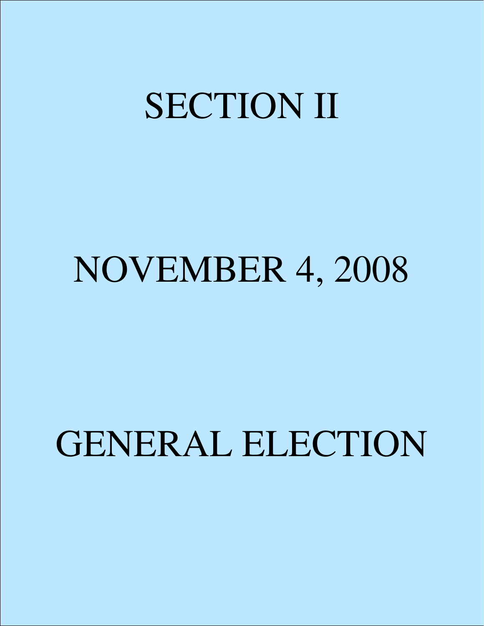## SECTION II

### NOVEMBER 4, 2008

## GENERAL ELECTION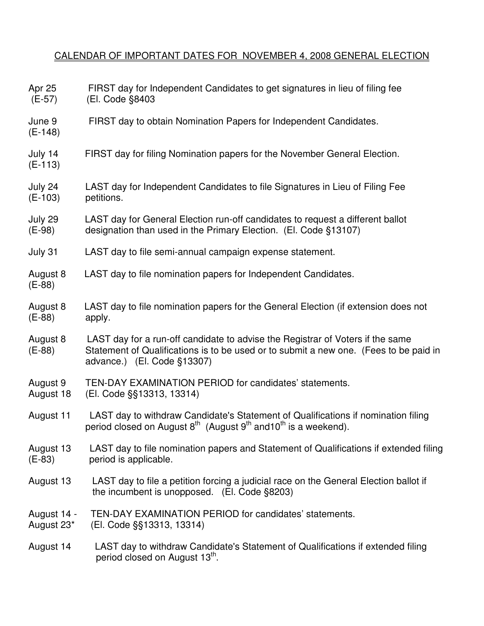#### CALENDAR OF IMPORTANT DATES FOR NOVEMBER 4, 2008 GENERAL ELECTION

| Apr 25<br>$(E-57)$        | FIRST day for Independent Candidates to get signatures in lieu of filing fee<br>(El. Code §8403                                                                                                          |
|---------------------------|----------------------------------------------------------------------------------------------------------------------------------------------------------------------------------------------------------|
| June 9<br>$(E-148)$       | FIRST day to obtain Nomination Papers for Independent Candidates.                                                                                                                                        |
| July 14<br>$(E-113)$      | FIRST day for filing Nomination papers for the November General Election.                                                                                                                                |
| July 24<br>$(E-103)$      | LAST day for Independent Candidates to file Signatures in Lieu of Filing Fee<br>petitions.                                                                                                               |
| July 29<br>$(E-98)$       | LAST day for General Election run-off candidates to request a different ballot<br>designation than used in the Primary Election. (El. Code §13107)                                                       |
| July 31                   | LAST day to file semi-annual campaign expense statement.                                                                                                                                                 |
| August 8<br>$(E-88)$      | LAST day to file nomination papers for Independent Candidates.                                                                                                                                           |
| August 8<br>$(E-88)$      | LAST day to file nomination papers for the General Election (if extension does not<br>apply.                                                                                                             |
| August 8<br>$(E-88)$      | LAST day for a run-off candidate to advise the Registrar of Voters if the same<br>Statement of Qualifications is to be used or to submit a new one. (Fees to be paid in<br>advance.) $(EI. Code §13307)$ |
| August 9<br>August 18     | TEN-DAY EXAMINATION PERIOD for candidates' statements.<br>(El. Code §§13313, 13314)                                                                                                                      |
| August 11                 | LAST day to withdraw Candidate's Statement of Qualifications if nomination filing<br>period closed on August $8^{th}$ (August $9^{th}$ and $10^{th}$ is a weekend).                                      |
| August 13<br>$(E-83)$     | LAST day to file nomination papers and Statement of Qualifications if extended filing<br>period is applicable.                                                                                           |
| August 13                 | LAST day to file a petition forcing a judicial race on the General Election ballot if<br>the incumbent is unopposed. $(El. Code §8203)$                                                                  |
| August 14 -<br>August 23* | TEN-DAY EXAMINATION PERIOD for candidates' statements.<br>(El. Code §§13313, 13314)                                                                                                                      |
| August 14                 | LAST day to withdraw Candidate's Statement of Qualifications if extended filing<br>period closed on August 13 <sup>th</sup> .                                                                            |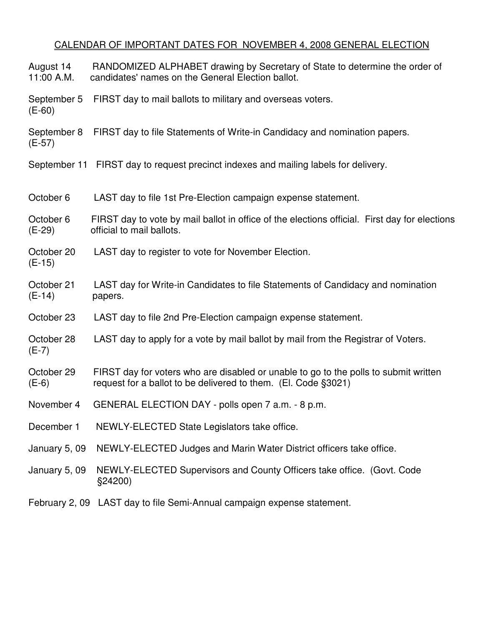#### CALENDAR OF IMPORTANT DATES FOR NOVEMBER 4, 2008 GENERAL ELECTION

August 14 RANDOMIZED ALPHABET drawing by Secretary of State to determine the order of 11:00 A.M. candidates' names on the General Election ballot.

September 5 FIRST day to mail ballots to military and overseas voters. (E-60)

September 8 FIRST day to file Statements of Write-in Candidacy and nomination papers. (E-57)

September 11 FIRST day to request precinct indexes and mailing labels for delivery.

October 6 LAST day to file 1st Pre-Election campaign expense statement.

October 6 FIRST day to vote by mail ballot in office of the elections official. First day for elections (E-29) official to mail ballots.

- October 20 LAST day to register to vote for November Election. (E-15)
- October 21 LAST day for Write-in Candidates to file Statements of Candidacy and nomination (E-14) papers.
- October 23 LAST day to file 2nd Pre-Election campaign expense statement.
- October 28 LAST day to apply for a vote by mail ballot by mail from the Registrar of Voters. (E-7)
- October 29 FIRST day for voters who are disabled or unable to go to the polls to submit written (E-6) request for a ballot to be delivered to them. (El. Code §3021)
- November 4 GENERAL ELECTION DAY polls open 7 a.m. 8 p.m.
- December 1 NEWLY-ELECTED State Legislators take office.
- January 5, 09 NEWLY-ELECTED Judges and Marin Water District officers take office.
- January 5, 09 NEWLY-ELECTED Supervisors and County Officers take office. (Govt. Code §24200)
- February 2, 09 LAST day to file Semi-Annual campaign expense statement.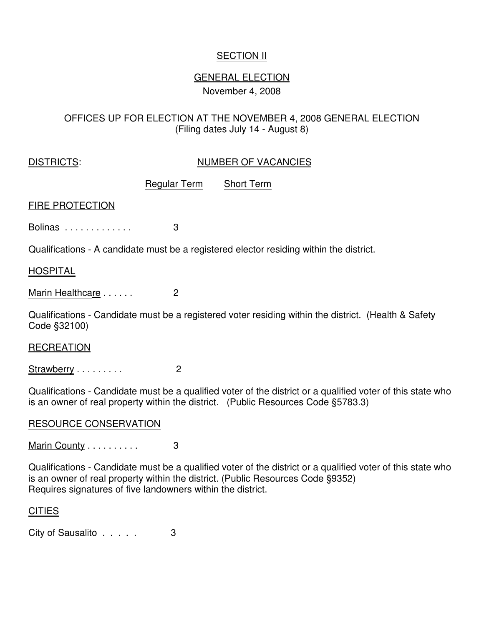#### **SECTION II**

#### GENERAL ELECTION November 4, 2008

#### OFFICES UP FOR ELECTION AT THE NOVEMBER 4, 2008 GENERAL ELECTION (Filing dates July 14 - August 8)

#### DISTRICTS: NUMBER OF VACANCIES

Regular Term Short Term

#### FIRE PROTECTION

Bolinas . . . . . . . . . . . . . 3

Qualifications - A candidate must be a registered elector residing within the district.

#### **HOSPITAL**

Marin Healthcare . . . . . . 2

Qualifications - Candidate must be a registered voter residing within the district. (Health & Safety Code §32100)

#### **RECREATION**

Strawberry . . . . . . . . . . . . 2

Qualifications - Candidate must be a qualified voter of the district or a qualified voter of this state who is an owner of real property within the district. (Public Resources Code §5783.3)

#### RESOURCE CONSERVATION

#### Marin County . . . . . . . . . . . 3

Qualifications - Candidate must be a qualified voter of the district or a qualified voter of this state who is an owner of real property within the district. (Public Resources Code §9352) Requires signatures of five landowners within the district.

#### **CITIES**

City of Sausalito . . . . . 3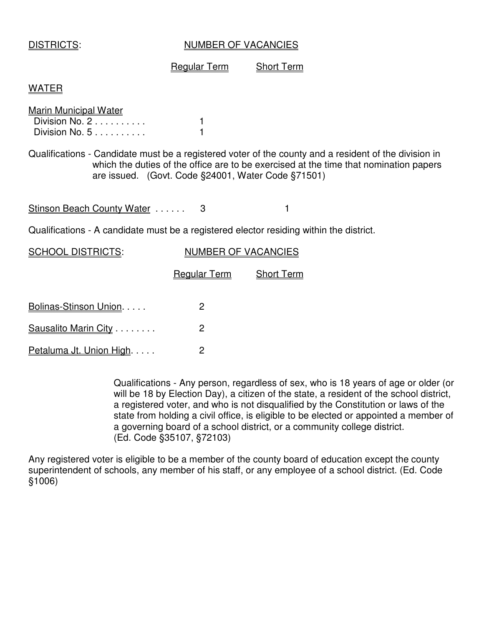#### DISTRICTS: NUMBER OF VACANCIES

#### Regular Term Short Term

#### WATER

| Marin Municipal Water |  |
|-----------------------|--|
| Division No. 2        |  |
| Division No. $5$      |  |

Qualifications - Candidate must be a registered voter of the county and a resident of the division in which the duties of the office are to be exercised at the time that nomination papers are issued. (Govt. Code §24001, Water Code §71501)

Stinson Beach County Water ...... 3

Qualifications - A candidate must be a registered elector residing within the district.

| <b>SCHOOL DISTRICTS:</b> | <b>NUMBER OF VACANCIES</b> |                   |  |
|--------------------------|----------------------------|-------------------|--|
|                          | <b>Regular Term</b>        | <b>Short Term</b> |  |
| Bolinas-Stinson Union.   | 2                          |                   |  |
| Sausalito Marin City     | 2                          |                   |  |
| Petaluma Jt. Union High. | 2                          |                   |  |

Qualifications - Any person, regardless of sex, who is 18 years of age or older (or will be 18 by Election Day), a citizen of the state, a resident of the school district, a registered voter, and who is not disqualified by the Constitution or laws of the state from holding a civil office, is eligible to be elected or appointed a member of a governing board of a school district, or a community college district. (Ed. Code §35107, §72103)

Any registered voter is eligible to be a member of the county board of education except the county superintendent of schools, any member of his staff, or any employee of a school district. (Ed. Code §1006)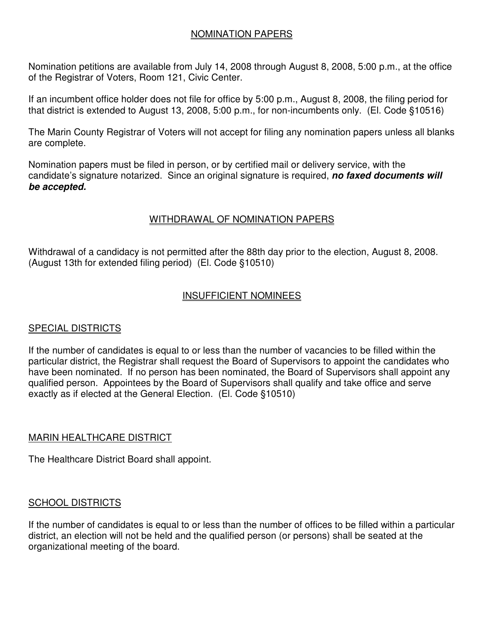#### NOMINATION PAPERS

Nomination petitions are available from July 14, 2008 through August 8, 2008, 5:00 p.m., at the office of the Registrar of Voters, Room 121, Civic Center.

If an incumbent office holder does not file for office by 5:00 p.m., August 8, 2008, the filing period for that district is extended to August 13, 2008, 5:00 p.m., for non-incumbents only. (El. Code §10516)

The Marin County Registrar of Voters will not accept for filing any nomination papers unless all blanks are complete.

Nomination papers must be filed in person, or by certified mail or delivery service, with the candidate's signature notarized. Since an original signature is required, *no faxed documents will be accepted.* 

#### WITHDRAWAL OF NOMINATION PAPERS

Withdrawal of a candidacy is not permitted after the 88th day prior to the election, August 8, 2008. (August 13th for extended filing period) (El. Code §10510)

#### INSUFFICIENT NOMINEES

#### SPECIAL DISTRICTS

If the number of candidates is equal to or less than the number of vacancies to be filled within the particular district, the Registrar shall request the Board of Supervisors to appoint the candidates who have been nominated. If no person has been nominated, the Board of Supervisors shall appoint any qualified person. Appointees by the Board of Supervisors shall qualify and take office and serve exactly as if elected at the General Election. (El. Code §10510)

#### MARIN HEALTHCARE DISTRICT

The Healthcare District Board shall appoint.

#### SCHOOL DISTRICTS

If the number of candidates is equal to or less than the number of offices to be filled within a particular district, an election will not be held and the qualified person (or persons) shall be seated at the organizational meeting of the board.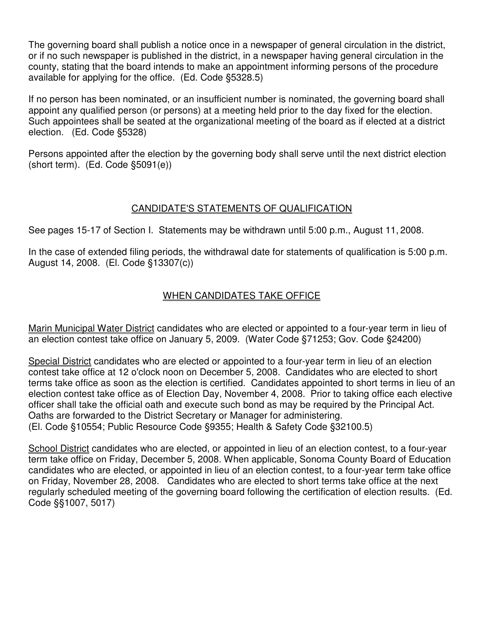The governing board shall publish a notice once in a newspaper of general circulation in the district, or if no such newspaper is published in the district, in a newspaper having general circulation in the county, stating that the board intends to make an appointment informing persons of the procedure available for applying for the office. (Ed. Code §5328.5)

If no person has been nominated, or an insufficient number is nominated, the governing board shall appoint any qualified person (or persons) at a meeting held prior to the day fixed for the election. Such appointees shall be seated at the organizational meeting of the board as if elected at a district election. (Ed. Code §5328)

Persons appointed after the election by the governing body shall serve until the next district election (short term). (Ed. Code §5091(e))

#### CANDIDATE'S STATEMENTS OF QUALIFICATION

See pages 15-17 of Section I. Statements may be withdrawn until 5:00 p.m., August 11, 2008.

In the case of extended filing periods, the withdrawal date for statements of qualification is 5:00 p.m. August 14, 2008. (El. Code §13307(c))

#### WHEN CANDIDATES TAKE OFFICE

Marin Municipal Water District candidates who are elected or appointed to a four-year term in lieu of an election contest take office on January 5, 2009. (Water Code §71253; Gov. Code §24200)

Special District candidates who are elected or appointed to a four-year term in lieu of an election contest take office at 12 o'clock noon on December 5, 2008. Candidates who are elected to short terms take office as soon as the election is certified. Candidates appointed to short terms in lieu of an election contest take office as of Election Day, November 4, 2008. Prior to taking office each elective officer shall take the official oath and execute such bond as may be required by the Principal Act. Oaths are forwarded to the District Secretary or Manager for administering. (El. Code §10554; Public Resource Code §9355; Health & Safety Code §32100.5)

School District candidates who are elected, or appointed in lieu of an election contest, to a four-year term take office on Friday, December 5, 2008. When applicable, Sonoma County Board of Education candidates who are elected, or appointed in lieu of an election contest, to a four-year term take office on Friday, November 28, 2008. Candidates who are elected to short terms take office at the next regularly scheduled meeting of the governing board following the certification of election results. (Ed. Code §§1007, 5017)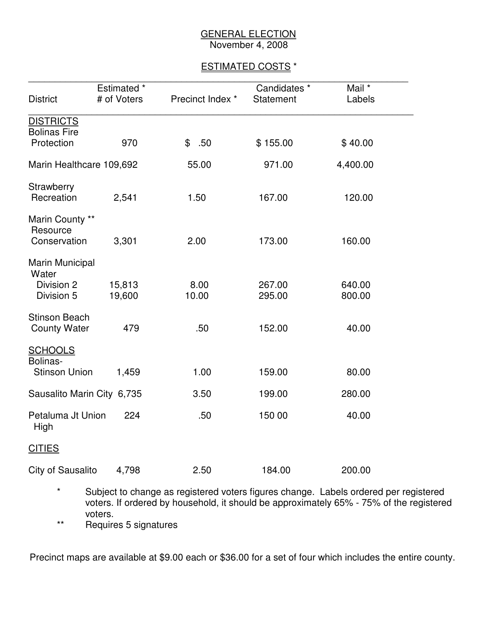#### **GENERAL ELECTION** November 4, 2008

#### ESTIMATED COSTS \*

|                             | Estimated * |                  | Candidates * | Mail *   |
|-----------------------------|-------------|------------------|--------------|----------|
| <b>District</b>             | # of Voters | Precinct Index * | Statement    | Labels   |
| <b>DISTRICTS</b>            |             |                  |              |          |
| <b>Bolinas Fire</b>         |             |                  |              |          |
| Protection                  | 970         | .50<br>\$        | \$155.00     | \$40.00  |
| Marin Healthcare 109,692    |             | 55.00            | 971.00       | 4,400.00 |
| Strawberry                  |             |                  |              |          |
| Recreation                  | 2,541       | 1.50             | 167.00       | 120.00   |
| Marin County **<br>Resource |             |                  |              |          |
| Conservation                | 3,301       | 2.00             | 173.00       | 160.00   |
| Marin Municipal<br>Water    |             |                  |              |          |
| Division 2                  | 15,813      | 8.00             | 267.00       | 640.00   |
| Division 5                  | 19,600      | 10.00            | 295.00       | 800.00   |
| <b>Stinson Beach</b>        |             |                  |              |          |
| <b>County Water</b>         | 479         | .50              | 152.00       | 40.00    |
| <b>SCHOOLS</b><br>Bolinas-  |             |                  |              |          |
| <b>Stinson Union</b>        | 1,459       | 1.00             | 159.00       | 80.00    |
| Sausalito Marin City 6,735  |             | 3.50             | 199.00       | 280.00   |
| Petaluma Jt Union<br>High   | 224         | .50              | 150 00       | 40.00    |
| <b>CITIES</b>               |             |                  |              |          |
| City of Sausalito           | 4,798       | 2.50             | 184.00       | 200.00   |

\* Subject to change as registered voters figures change. Labels ordered per registered voters. If ordered by household, it should be approximately 65% - 75% of the registered voters.

\*\* Requires 5 signatures

Precinct maps are available at \$9.00 each or \$36.00 for a set of four which includes the entire county.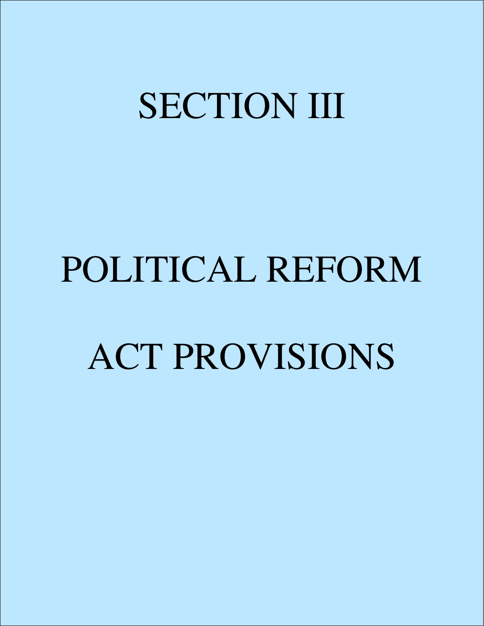## SECTION III

# POLITICAL REFORM ACT PROVISIONS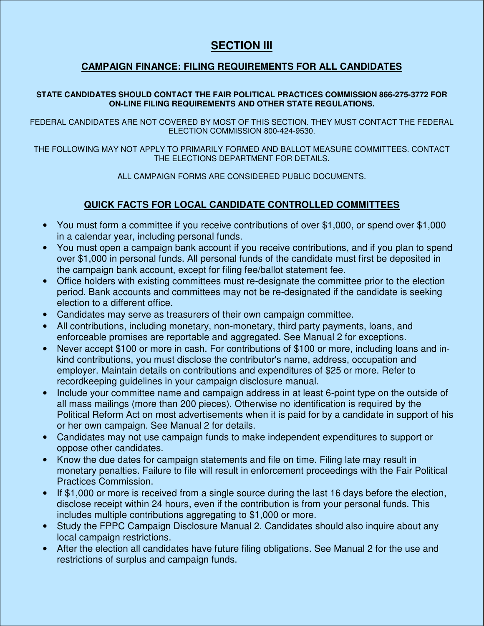#### **SECTION III**

#### **CAMPAIGN FINANCE: FILING REQUIREMENTS FOR ALL CANDIDATES**

#### **STATE CANDIDATES SHOULD CONTACT THE FAIR POLITICAL PRACTICES COMMISSION 866-275-3772 FOR ON-LINE FILING REQUIREMENTS AND OTHER STATE REGULATIONS.**

FEDERAL CANDIDATES ARE NOT COVERED BY MOST OF THIS SECTION. THEY MUST CONTACT THE FEDERAL ELECTION COMMISSION 800-424-9530.

THE FOLLOWING MAY NOT APPLY TO PRIMARILY FORMED AND BALLOT MEASURE COMMITTEES. CONTACT THE ELECTIONS DEPARTMENT FOR DETAILS.

ALL CAMPAIGN FORMS ARE CONSIDERED PUBLIC DOCUMENTS.

#### **QUICK FACTS FOR LOCAL CANDIDATE CONTROLLED COMMITTEES**

- You must form a committee if you receive contributions of over \$1,000, or spend over \$1,000 in a calendar year, including personal funds.
- You must open a campaign bank account if you receive contributions, and if you plan to spend over \$1,000 in personal funds. All personal funds of the candidate must first be deposited in the campaign bank account, except for filing fee/ballot statement fee.
- Office holders with existing committees must re-designate the committee prior to the election period. Bank accounts and committees may not be re-designated if the candidate is seeking election to a different office.
- Candidates may serve as treasurers of their own campaign committee.
- All contributions, including monetary, non-monetary, third party payments, loans, and enforceable promises are reportable and aggregated. See Manual 2 for exceptions.
- Never accept \$100 or more in cash. For contributions of \$100 or more, including loans and inkind contributions, you must disclose the contributor's name, address, occupation and employer. Maintain details on contributions and expenditures of \$25 or more. Refer to recordkeeping guidelines in your campaign disclosure manual.
- Include your committee name and campaign address in at least 6-point type on the outside of all mass mailings (more than 200 pieces). Otherwise no identification is required by the Political Reform Act on most advertisements when it is paid for by a candidate in support of his or her own campaign. See Manual 2 for details.
- Candidates may not use campaign funds to make independent expenditures to support or oppose other candidates.
- Know the due dates for campaign statements and file on time. Filing late may result in monetary penalties. Failure to file will result in enforcement proceedings with the Fair Political Practices Commission.
- If \$1,000 or more is received from a single source during the last 16 days before the election, disclose receipt within 24 hours, even if the contribution is from your personal funds. This includes multiple contributions aggregating to \$1,000 or more.
- Study the FPPC Campaign Disclosure Manual 2. Candidates should also inquire about any local campaign restrictions.
- After the election all candidates have future filing obligations. See Manual 2 for the use and restrictions of surplus and campaign funds.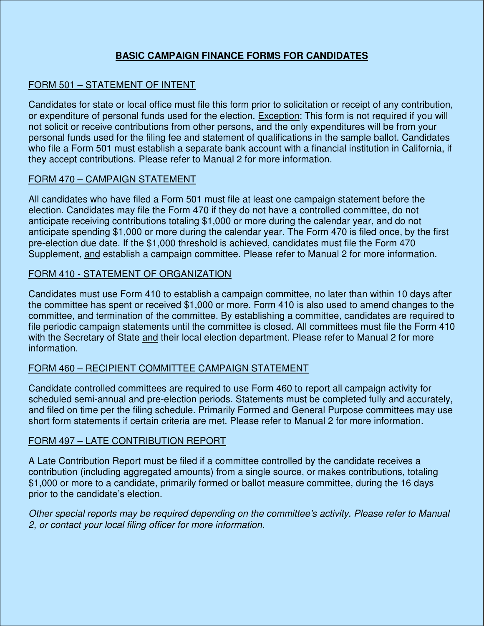#### **BASIC CAMPAIGN FINANCE FORMS FOR CANDIDATES**

#### FORM 501 – STATEMENT OF INTENT

Candidates for state or local office must file this form prior to solicitation or receipt of any contribution, or expenditure of personal funds used for the election. Exception: This form is not required if you will not solicit or receive contributions from other persons, and the only expenditures will be from your personal funds used for the filing fee and statement of qualifications in the sample ballot. Candidates who file a Form 501 must establish a separate bank account with a financial institution in California, if they accept contributions. Please refer to Manual 2 for more information.

#### FORM 470 – CAMPAIGN STATEMENT

All candidates who have filed a Form 501 must file at least one campaign statement before the election. Candidates may file the Form 470 if they do not have a controlled committee, do not anticipate receiving contributions totaling \$1,000 or more during the calendar year, and do not anticipate spending \$1,000 or more during the calendar year. The Form 470 is filed once, by the first pre-election due date. If the \$1,000 threshold is achieved, candidates must file the Form 470 Supplement, and establish a campaign committee. Please refer to Manual 2 for more information.

#### FORM 410 - STATEMENT OF ORGANIZATION

Candidates must use Form 410 to establish a campaign committee, no later than within 10 days after the committee has spent or received \$1,000 or more. Form 410 is also used to amend changes to the committee, and termination of the committee. By establishing a committee, candidates are required to file periodic campaign statements until the committee is closed. All committees must file the Form 410 with the Secretary of State and their local election department. Please refer to Manual 2 for more information.

#### FORM 460 – RECIPIENT COMMITTEE CAMPAIGN STATEMENT

Candidate controlled committees are required to use Form 460 to report all campaign activity for scheduled semi-annual and pre-election periods. Statements must be completed fully and accurately, and filed on time per the filing schedule. Primarily Formed and General Purpose committees may use short form statements if certain criteria are met. Please refer to Manual 2 for more information.

#### FORM 497 – LATE CONTRIBUTION REPORT

A Late Contribution Report must be filed if a committee controlled by the candidate receives a contribution (including aggregated amounts) from a single source, or makes contributions, totaling \$1,000 or more to a candidate, primarily formed or ballot measure committee, during the 16 days prior to the candidate's election.

*Other special reports may be required depending on the committee's activity. Please refer to Manual 2, or contact your local filing officer for more information.*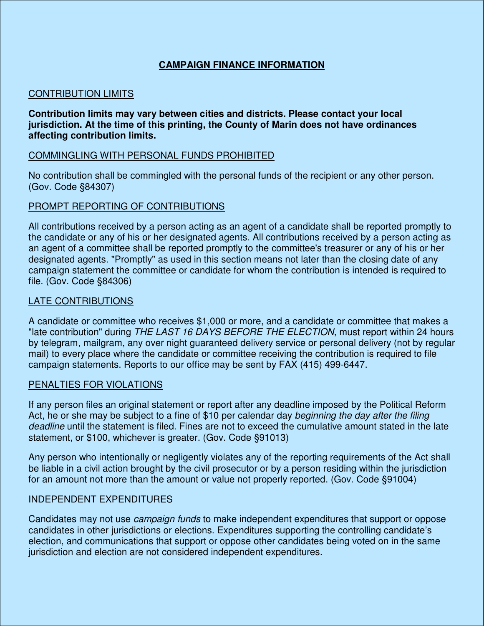#### **CAMPAIGN FINANCE INFORMATION**

#### CONTRIBUTION LIMITS

#### **Contribution limits may vary between cities and districts. Please contact your local jurisdiction. At the time of this printing, the County of Marin does not have ordinances affecting contribution limits.**

#### COMMINGLING WITH PERSONAL FUNDS PROHIBITED

No contribution shall be commingled with the personal funds of the recipient or any other person. (Gov. Code §84307)

#### PROMPT REPORTING OF CONTRIBUTIONS

All contributions received by a person acting as an agent of a candidate shall be reported promptly to the candidate or any of his or her designated agents. All contributions received by a person acting as an agent of a committee shall be reported promptly to the committee's treasurer or any of his or her designated agents. "Promptly" as used in this section means not later than the closing date of any campaign statement the committee or candidate for whom the contribution is intended is required to file. (Gov. Code §84306)

#### LATE CONTRIBUTIONS

A candidate or committee who receives \$1,000 or more, and a candidate or committee that makes a "late contribution" during *THE LAST 16 DAYS BEFORE THE ELECTION*, must report within 24 hours by telegram, mailgram, any over night guaranteed delivery service or personal delivery (not by regular mail) to every place where the candidate or committee receiving the contribution is required to file campaign statements. Reports to our office may be sent by FAX (415) 499-6447.

#### PENALTIES FOR VIOLATIONS

If any person files an original statement or report after any deadline imposed by the Political Reform Act, he or she may be subject to a fine of \$10 per calendar day *beginning the day after the filing deadline* until the statement is filed. Fines are not to exceed the cumulative amount stated in the late statement, or \$100, whichever is greater. (Gov. Code §91013)

Any person who intentionally or negligently violates any of the reporting requirements of the Act shall be liable in a civil action brought by the civil prosecutor or by a person residing within the jurisdiction for an amount not more than the amount or value not properly reported. (Gov. Code §91004)

#### INDEPENDENT EXPENDITURES

Candidates may not use *campaign funds* to make independent expenditures that support or oppose candidates in other jurisdictions or elections. Expenditures supporting the controlling candidate's election, and communications that support or oppose other candidates being voted on in the same jurisdiction and election are not considered independent expenditures.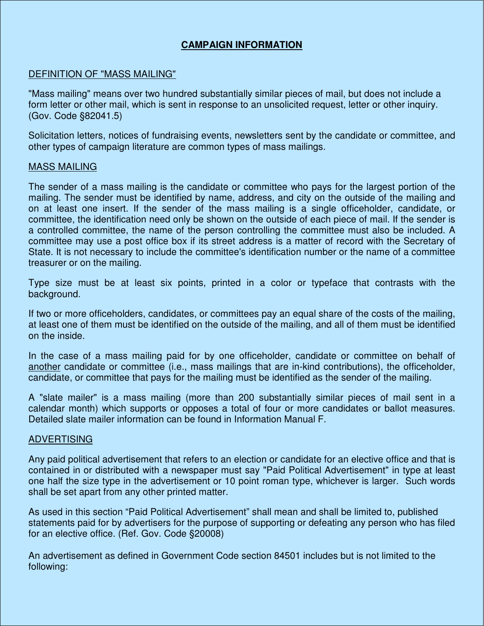#### **CAMPAIGN INFORMATION**

#### DEFINITION OF "MASS MAILING"

"Mass mailing" means over two hundred substantially similar pieces of mail, but does not include a form letter or other mail, which is sent in response to an unsolicited request, letter or other inquiry. (Gov. Code §82041.5)

Solicitation letters, notices of fundraising events, newsletters sent by the candidate or committee, and other types of campaign literature are common types of mass mailings.

#### MASS MAILING

The sender of a mass mailing is the candidate or committee who pays for the largest portion of the mailing. The sender must be identified by name, address, and city on the outside of the mailing and on at least one insert. If the sender of the mass mailing is a single officeholder, candidate, or committee, the identification need only be shown on the outside of each piece of mail. If the sender is a controlled committee, the name of the person controlling the committee must also be included. A committee may use a post office box if its street address is a matter of record with the Secretary of State. It is not necessary to include the committee's identification number or the name of a committee treasurer or on the mailing.

Type size must be at least six points, printed in a color or typeface that contrasts with the background.

If two or more officeholders, candidates, or committees pay an equal share of the costs of the mailing, at least one of them must be identified on the outside of the mailing, and all of them must be identified on the inside.

In the case of a mass mailing paid for by one officeholder, candidate or committee on behalf of another candidate or committee (i.e., mass mailings that are in-kind contributions), the officeholder, candidate, or committee that pays for the mailing must be identified as the sender of the mailing.

A "slate mailer" is a mass mailing (more than 200 substantially similar pieces of mail sent in a calendar month) which supports or opposes a total of four or more candidates or ballot measures. Detailed slate mailer information can be found in Information Manual F.

#### ADVERTISING

Any paid political advertisement that refers to an election or candidate for an elective office and that is contained in or distributed with a newspaper must say "Paid Political Advertisement" in type at least one half the size type in the advertisement or 10 point roman type, whichever is larger. Such words shall be set apart from any other printed matter.

As used in this section "Paid Political Advertisement" shall mean and shall be limited to, published statements paid for by advertisers for the purpose of supporting or defeating any person who has filed for an elective office. (Ref. Gov. Code §20008)

An advertisement as defined in Government Code section 84501 includes but is not limited to the following: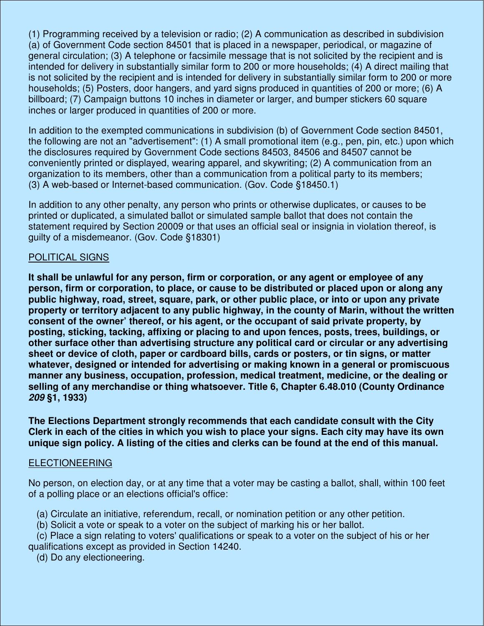(1) Programming received by a television or radio; (2) A communication as described in subdivision (a) of Government Code section 84501 that is placed in a newspaper, periodical, or magazine of general circulation; (3) A telephone or facsimile message that is not solicited by the recipient and is intended for delivery in substantially similar form to 200 or more households; (4) A direct mailing that is not solicited by the recipient and is intended for delivery in substantially similar form to 200 or more households; (5) Posters, door hangers, and yard signs produced in quantities of 200 or more; (6) A billboard; (7) Campaign buttons 10 inches in diameter or larger, and bumper stickers 60 square inches or larger produced in quantities of 200 or more.

In addition to the exempted communications in subdivision (b) of Government Code section 84501, the following are not an "advertisement": (1) A small promotional item (e.g., pen, pin, etc.) upon which the disclosures required by Government Code sections 84503, 84506 and 84507 cannot be conveniently printed or displayed, wearing apparel, and skywriting; (2) A communication from an organization to its members, other than a communication from a political party to its members; (3) A web-based or Internet-based communication. (Gov. Code §18450.1)

In addition to any other penalty, any person who prints or otherwise duplicates, or causes to be printed or duplicated, a simulated ballot or simulated sample ballot that does not contain the statement required by Section 20009 or that uses an official seal or insignia in violation thereof, is guilty of a misdemeanor. (Gov. Code §18301)

#### POLITICAL SIGNS

**It shall be unlawful for any person, firm or corporation, or any agent or employee of any person, firm or corporation, to place, or cause to be distributed or placed upon or along any public highway, road, street, square, park, or other public place, or into or upon any private property or territory adjacent to any public highway, in the county of Marin, without the written consent of the owner' thereof, or his agent, or the occupant of said private property, by posting, sticking, tacking, affixing or placing to and upon fences, posts, trees, buildings, or other surface other than advertising structure any political card or circular or any advertising sheet or device of cloth, paper or cardboard bills, cards or posters, or tin signs, or matter whatever, designed or intended for advertising or making known in a general or promiscuous manner any business, occupation, profession, medical treatment, medicine, or the dealing or selling of any merchandise or thing whatsoever. Title 6, Chapter 6.48.010 (County Ordinance**  *209* **§1, 1933)** 

**The Elections Department strongly recommends that each candidate consult with the City Clerk in each of the cities in which you wish to place your signs. Each city may have its own unique sign policy. A listing of the cities and clerks can be found at the end of this manual.** 

#### ELECTIONEERING

No person, on election day, or at any time that a voter may be casting a ballot, shall, within 100 feet of a polling place or an elections official's office:

- (a) Circulate an initiative, referendum, recall, or nomination petition or any other petition.
- (b) Solicit a vote or speak to a voter on the subject of marking his or her ballot.
- (c) Place a sign relating to voters' qualifications or speak to a voter on the subject of his or her qualifications except as provided in Section 14240.
	- (d) Do any electioneering.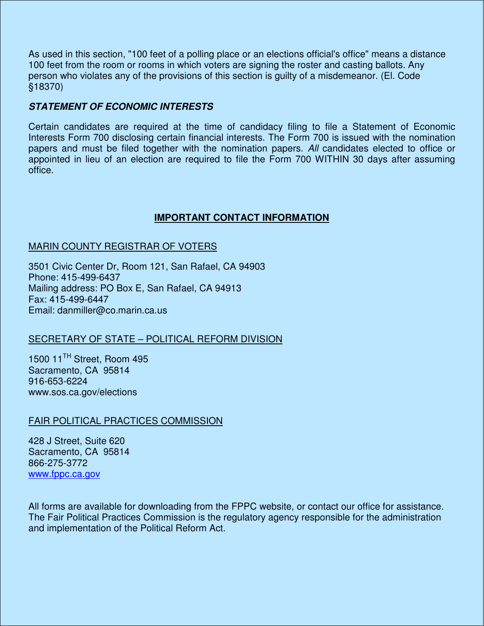As used in this section, "100 feet of a polling place or an elections official's office" means a distance 100 feet from the room or rooms in which voters are signing the roster and casting ballots. Any person who violates any of the provisions of this section is guilty of a misdemeanor. (El. Code §18370)

#### *STATEMENT OF ECONOMIC INTERESTS*

Certain candidates are required at the time of candidacy filing to file a Statement of Economic Interests Form 700 disclosing certain financial interests. The Form 700 is issued with the nomination papers and must be filed together with the nomination papers. *All* candidates elected to office or appointed in lieu of an election are required to file the Form 700 WITHIN 30 days after assuming office.

#### **IMPORTANT CONTACT INFORMATION**

#### MARIN COUNTY REGISTRAR OF VOTERS

3501 Civic Center Dr, Room 121, San Rafael, CA 94903 Phone: 415-499-6437 Mailing address: PO Box E, San Rafael, CA 94913 Fax: 415-499-6447 Email: danmiller@co.marin.ca.us

#### SECRETARY OF STATE – POLITICAL REFORM DIVISION

1500 11<sup>TH</sup> Street, Room 495 Sacramento, CA 95814 916-653-6224 www.sos.ca.gov/elections

#### FAIR POLITICAL PRACTICES COMMISSION

428 J Street, Suite 620 Sacramento, CA 95814 866-275-3772 www.fppc.ca.gov

All forms are available for downloading from the FPPC website, or contact our office for assistance. The Fair Political Practices Commission is the regulatory agency responsible for the administration and implementation of the Political Reform Act.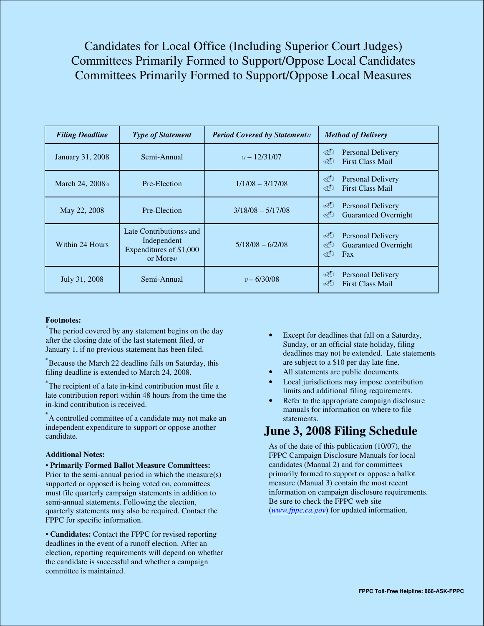Candidates for Local Office (Including Superior Court Judges) Committees Primarily Formed to Support/Oppose Local Candidates Committees Primarily Formed to Support/Oppose Local Measures

| <b>Filing Deadline</b> | <b>Type of Statement</b>                                                                   | <b>Period Covered by Statementi/</b> | <b>Method of Delivery</b>                                                       |
|------------------------|--------------------------------------------------------------------------------------------|--------------------------------------|---------------------------------------------------------------------------------|
| January 31, 2008       | Semi-Annual                                                                                | $1/ - 12/31/07$                      | ৩∎<br>Personal Delivery<br>⊲∩<br><b>First Class Mail</b>                        |
| March 24, 20082/       | Pre-Election                                                                               | $1/1/08 - 3/17/08$                   | ≪D<br><b>Personal Delivery</b><br><b>First Class Mail</b><br>⊲∩                 |
| May 22, 2008           | Pre-Election                                                                               | $3/18/08 - 5/17/08$                  | E<br><b>Personal Delivery</b><br>GO<br><b>Guaranteed Overnight</b>              |
| Within 24 Hours        | Late Contributions <sub>3</sub> and<br>Independent<br>Expenditures of \$1,000<br>or More4/ | $5/18/08 - 6/2/08$                   | ৩∎<br><b>Personal Delivery</b><br>E<br><b>Guaranteed Overnight</b><br>⊲∩<br>Fax |
| July 31, 2008          | Semi-Annual                                                                                | 1/–6/30/08                           | E<br>Personal Delivery<br>⊲∩<br><b>First Class Mail</b>                         |

#### **Footnotes:**

 $\Gamma$ <sup>T</sup> The period covered by any statement begins on the day after the closing date of the last statement filed, or January 1, if no previous statement has been filed.

 $\mathbb{Z}^2$ Because the March 22 deadline falls on Saturday, this filing deadline is extended to March 24, 2008.

 $\sqrt[3]{\text{The recipient of a late in-kind contribution must file a}}$ late contribution report within 48 hours from the time the in-kind contribution is received.

4/ A controlled committee of a candidate may not make an independent expenditure to support or oppose another candidate.

#### **Additional Notes:**

• **Primarily Formed Ballot Measure Committees:**  Prior to the semi-annual period in which the measure(s)

supported or opposed is being voted on, committees must file quarterly campaign statements in addition to semi-annual statements. Following the election, quarterly statements may also be required. Contact the FPPC for specific information.

• **Candidates:** Contact the FPPC for revised reporting deadlines in the event of a runoff election. After an election, reporting requirements will depend on whether the candidate is successful and whether a campaign committee is maintained.

- Except for deadlines that fall on a Saturday, Sunday, or an official state holiday, filing deadlines may not be extended. Late statements are subject to a \$10 per day late fine.
- All statements are public documents.
- Local jurisdictions may impose contribution limits and additional filing requirements.
- Refer to the appropriate campaign disclosure manuals for information on where to file statements.

#### **June 3, 2008 Filing Schedule**

As of the date of this publication (10/07), the FPPC Campaign Disclosure Manuals for local candidates (Manual 2) and for committees primarily formed to support or oppose a ballot measure (Manual 3) contain the most recent information on campaign disclosure requirements. Be sure to check the FPPC web site (*www.fppc.ca.gov*) for updated information.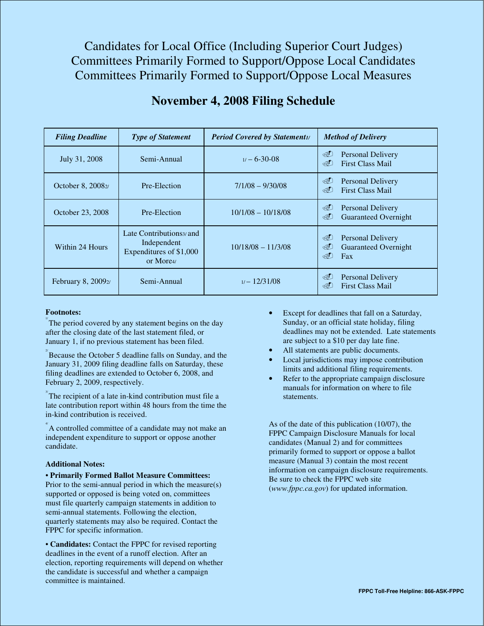Candidates for Local Office (Including Superior Court Judges) Committees Primarily Formed to Support/Oppose Local Candidates Committees Primarily Formed to Support/Oppose Local Measures

| <b>Filing Deadline</b>        | <b>Type of Statement</b>                                                                   | <b>Period Covered by Statementi/</b> | <b>Method of Delivery</b>                                                       |
|-------------------------------|--------------------------------------------------------------------------------------------|--------------------------------------|---------------------------------------------------------------------------------|
| July 31, 2008                 | Semi-Annual                                                                                | $1/ - 6 - 30 - 08$                   | G<br><b>Personal Delivery</b><br><b>First Class Mail</b><br>⊲ପ                  |
| October 8, 2008 <sub>2</sub>  | Pre-Election                                                                               | $7/1/08 - 9/30/08$                   | E<br><b>Personal Delivery</b><br><b>First Class Mail</b><br><dd< td=""></dd<>   |
| October 23, 2008              | Pre-Election                                                                               | $10/1/08 - 10/18/08$                 | E<br><b>Personal Delivery</b><br>E<br><b>Guaranteed Overnight</b>               |
| Within 24 Hours               | Late Contributions <sub>3</sub> and<br>Independent<br>Expenditures of \$1,000<br>or More4/ | $10/18/08 - 11/3/08$                 | E<br><b>Personal Delivery</b><br>E<br><b>Guaranteed Overnight</b><br>ৰেী<br>Fax |
| February 8, 2009 <sub>2</sub> | Semi-Annual                                                                                | 1/–12/31/08                          | G<br>Personal Delivery<br>$\otimes$<br><b>First Class Mail</b>                  |

#### **November 4, 2008 Filing Schedule**

#### **Footnotes:**

The period covered by any statement begins on the day after the closing date of the last statement filed, or January 1, if no previous statement has been filed.

 $\mathbb{Z}^2$  Because the October 5 deadline falls on Sunday, and the January 31, 2009 filing deadline falls on Saturday, these filing deadlines are extended to October 6, 2008, and February 2, 2009, respectively.

 $\sqrt[3]{}$ The recipient of a late in-kind contribution must file a late contribution report within 48 hours from the time the in-kind contribution is received.

4/ A controlled committee of a candidate may not make an independent expenditure to support or oppose another candidate.

#### **Additional Notes:**

• **Primarily Formed Ballot Measure Committees:**  Prior to the semi-annual period in which the measure(s) supported or opposed is being voted on, committees must file quarterly campaign statements in addition to semi-annual statements. Following the election, quarterly statements may also be required. Contact the FPPC for specific information.

• **Candidates:** Contact the FPPC for revised reporting deadlines in the event of a runoff election. After an election, reporting requirements will depend on whether the candidate is successful and whether a campaign committee is maintained.

- Except for deadlines that fall on a Saturday, Sunday, or an official state holiday, filing deadlines may not be extended. Late statements are subject to a \$10 per day late fine.
- All statements are public documents.
- Local jurisdictions may impose contribution limits and additional filing requirements.
- Refer to the appropriate campaign disclosure manuals for information on where to file statements.

As of the date of this publication (10/07), the FPPC Campaign Disclosure Manuals for local candidates (Manual 2) and for committees primarily formed to support or oppose a ballot measure (Manual 3) contain the most recent information on campaign disclosure requirements. Be sure to check the FPPC web site (*www.fppc.ca.gov*) for updated information.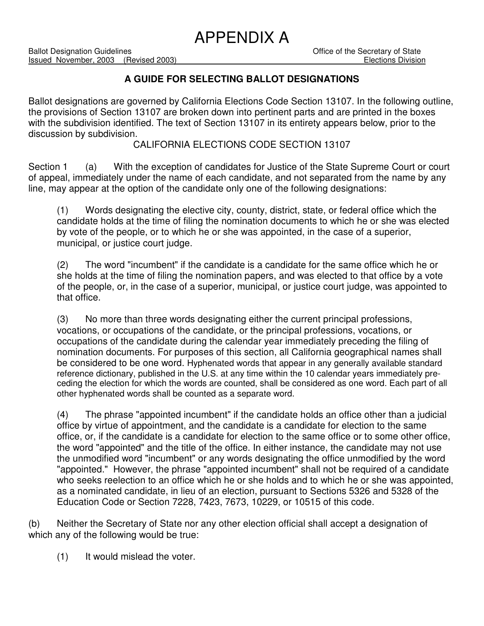### APPENDIX A

#### **A GUIDE FOR SELECTING BALLOT DESIGNATIONS**

Ballot designations are governed by California Elections Code Section 13107. In the following outline, the provisions of Section 13107 are broken down into pertinent parts and are printed in the boxes with the subdivision identified. The text of Section 13107 in its entirety appears below, prior to the discussion by subdivision.

#### CALIFORNIA ELECTIONS CODE SECTION 13107

Section 1 (a) With the exception of candidates for Justice of the State Supreme Court or court of appeal, immediately under the name of each candidate, and not separated from the name by any line, may appear at the option of the candidate only one of the following designations:

(1) Words designating the elective city, county, district, state, or federal office which the candidate holds at the time of filing the nomination documents to which he or she was elected by vote of the people, or to which he or she was appointed, in the case of a superior, municipal, or justice court judge.

(2) The word "incumbent" if the candidate is a candidate for the same office which he or she holds at the time of filing the nomination papers, and was elected to that office by a vote of the people, or, in the case of a superior, municipal, or justice court judge, was appointed to that office.

(3) No more than three words designating either the current principal professions, vocations, or occupations of the candidate, or the principal professions, vocations, or occupations of the candidate during the calendar year immediately preceding the filing of nomination documents. For purposes of this section, all California geographical names shall be considered to be one word. Hyphenated words that appear in any generally available standard reference dictionary, published in the U.S. at any time within the 10 calendar years immediately preceding the election for which the words are counted, shall be considered as one word. Each part of all other hyphenated words shall be counted as a separate word.

(4) The phrase "appointed incumbent" if the candidate holds an office other than a judicial office by virtue of appointment, and the candidate is a candidate for election to the same office, or, if the candidate is a candidate for election to the same office or to some other office, the word "appointed" and the title of the office. In either instance, the candidate may not use the unmodified word "incumbent" or any words designating the office unmodified by the word "appointed." However, the phrase "appointed incumbent" shall not be required of a candidate who seeks reelection to an office which he or she holds and to which he or she was appointed, as a nominated candidate, in lieu of an election, pursuant to Sections 5326 and 5328 of the Education Code or Section 7228, 7423, 7673, 10229, or 10515 of this code.

(b) Neither the Secretary of State nor any other election official shall accept a designation of which any of the following would be true:

(1) It would mislead the voter.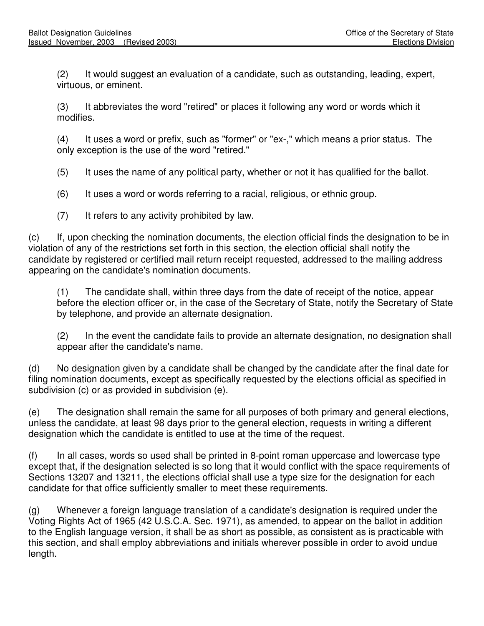(2) It would suggest an evaluation of a candidate, such as outstanding, leading, expert, virtuous, or eminent.

(3) It abbreviates the word "retired" or places it following any word or words which it modifies.

(4) It uses a word or prefix, such as "former" or "ex-," which means a prior status. The only exception is the use of the word "retired."

- (5) It uses the name of any political party, whether or not it has qualified for the ballot.
- (6) It uses a word or words referring to a racial, religious, or ethnic group.
- (7) It refers to any activity prohibited by law.

(c) If, upon checking the nomination documents, the election official finds the designation to be in violation of any of the restrictions set forth in this section, the election official shall notify the candidate by registered or certified mail return receipt requested, addressed to the mailing address appearing on the candidate's nomination documents.

(1) The candidate shall, within three days from the date of receipt of the notice, appear before the election officer or, in the case of the Secretary of State, notify the Secretary of State by telephone, and provide an alternate designation.

(2) In the event the candidate fails to provide an alternate designation, no designation shall appear after the candidate's name.

(d) No designation given by a candidate shall be changed by the candidate after the final date for filing nomination documents, except as specifically requested by the elections official as specified in subdivision (c) or as provided in subdivision (e).

(e) The designation shall remain the same for all purposes of both primary and general elections, unless the candidate, at least 98 days prior to the general election, requests in writing a different designation which the candidate is entitled to use at the time of the request.

(f) In all cases, words so used shall be printed in 8-point roman uppercase and lowercase type except that, if the designation selected is so long that it would conflict with the space requirements of Sections 13207 and 13211, the elections official shall use a type size for the designation for each candidate for that office sufficiently smaller to meet these requirements.

(g) Whenever a foreign language translation of a candidate's designation is required under the Voting Rights Act of 1965 (42 U.S.C.A. Sec. 1971), as amended, to appear on the ballot in addition to the English language version, it shall be as short as possible, as consistent as is practicable with this section, and shall employ abbreviations and initials wherever possible in order to avoid undue length.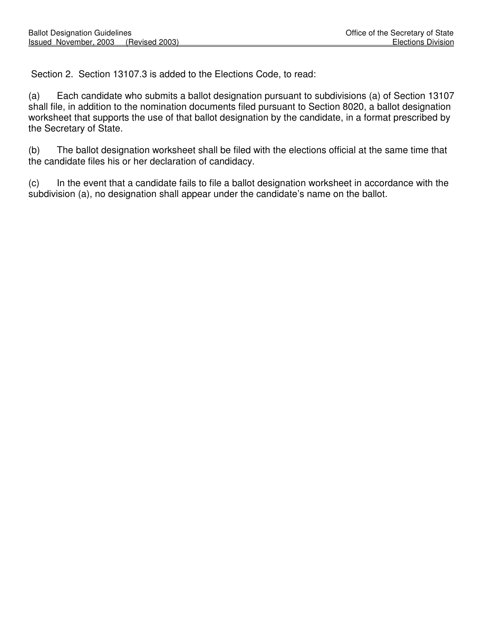Section 2. Section 13107.3 is added to the Elections Code, to read:

(a) Each candidate who submits a ballot designation pursuant to subdivisions (a) of Section 13107 shall file, in addition to the nomination documents filed pursuant to Section 8020, a ballot designation worksheet that supports the use of that ballot designation by the candidate, in a format prescribed by the Secretary of State.

(b) The ballot designation worksheet shall be filed with the elections official at the same time that the candidate files his or her declaration of candidacy.

(c) In the event that a candidate fails to file a ballot designation worksheet in accordance with the subdivision (a), no designation shall appear under the candidate's name on the ballot.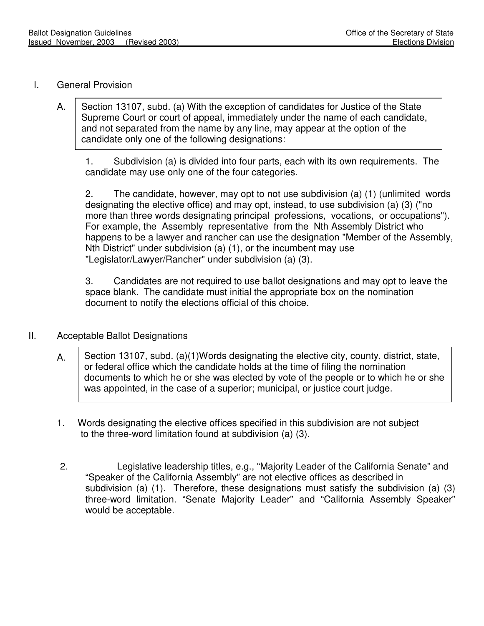#### I. General Provision

A. Section 13107, subd. (a) With the exception of candidates for Justice of the State Supreme Court or court of appeal, immediately under the name of each candidate, and not separated from the name by any line, may appear at the option of the candidate only one of the following designations:

1. Subdivision (a) is divided into four parts, each with its own requirements. The candidate may use only one of the four categories.

2. The candidate, however, may opt to not use subdivision (a) (1) (unlimited words designating the elective office) and may opt, instead, to use subdivision (a) (3) ("no more than three words designating principal professions, vocations, or occupations"). For example, the Assembly representative from the Nth Assembly District who happens to be a lawyer and rancher can use the designation "Member of the Assembly, Nth District" under subdivision (a) (1), or the incumbent may use "Legislator/Lawyer/Rancher" under subdivision (a) (3).

3. Candidates are not required to use ballot designations and may opt to leave the space blank. The candidate must initial the appropriate box on the nomination document to notify the elections official of this choice.

#### II. Acceptable Ballot Designations

- A. Section 13107, subd. (a)(1)Words designating the elective city, county, district, state, or federal office which the candidate holds at the time of filing the nomination documents to which he or she was elected by vote of the people or to which he or she was appointed, in the case of a superior; municipal, or justice court judge.
- 1. Words designating the elective offices specified in this subdivision are not subject to the three-word limitation found at subdivision (a) (3).
- 2. Legislative leadership titles, e.g., "Majority Leader of the California Senate" and "Speaker of the California Assembly" are not elective offices as described in subdivision (a) (1). Therefore, these designations must satisfy the subdivision (a) (3) three-word limitation. "Senate Majority Leader" and "California Assembly Speaker" would be acceptable.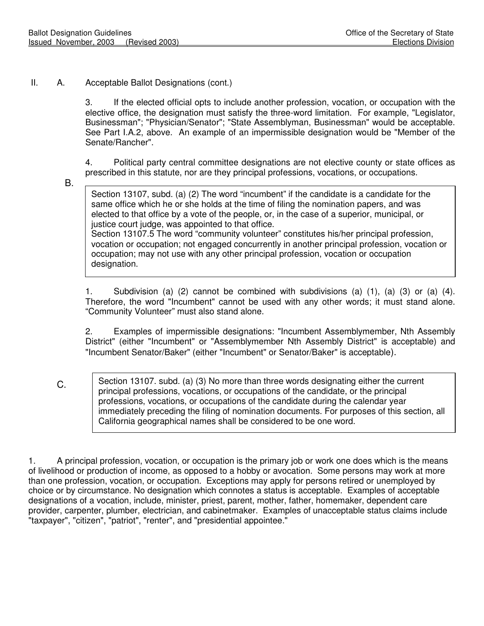II. A. Acceptable Ballot Designations (cont.)

3. If the elected official opts to include another profession, vocation, or occupation with the elective office, the designation must satisfy the three-word limitation. For example, "Legislator, Businessman"; "Physician/Senator"; "State Assemblyman, Businessman" would be acceptable. See Part I.A.2, above. An example of an impermissible designation would be "Member of the Senate/Rancher".

4. Political party central committee designations are not elective county or state offices as prescribed in this statute, nor are they principal professions, vocations, or occupations.

B.

Section 13107, subd. (a) (2) The word "incumbent" if the candidate is a candidate for the same office which he or she holds at the time of filing the nomination papers, and was elected to that office by a vote of the people, or, in the case of a superior, municipal, or justice court judge, was appointed to that office. Section 13107.5 The word "community volunteer" constitutes his/her principal profession, vocation or occupation; not engaged concurrently in another principal profession, vocation or occupation; may not use with any other principal profession, vocation or occupation designation.

1. Subdivision (a) (2) cannot be combined with subdivisions (a) (1), (a) (3) or (a) (4). Therefore, the word "Incumbent" cannot be used with any other words; it must stand alone. "Community Volunteer" must also stand alone.

2. Examples of impermissible designations: "Incumbent Assemblymember, Nth Assembly District" (either "Incumbent" or "Assemblymember Nth Assembly District" is acceptable) and "Incumbent Senator/Baker" (either "Incumbent" or Senator/Baker" is acceptable).

 C. Section 13107. subd. (a) (3) No more than three words designating either the current principal professions, vocations, or occupations of the candidate, or the principal professions, vocations, or occupations of the candidate during the calendar year immediately preceding the filing of nomination documents. For purposes of this section, all California geographical names shall be considered to be one word.

1. A principal profession, vocation, or occupation is the primary job or work one does which is the means of livelihood or production of income, as opposed to a hobby or avocation. Some persons may work at more than one profession, vocation, or occupation. Exceptions may apply for persons retired or unemployed by choice or by circumstance. No designation which connotes a status is acceptable. Examples of acceptable designations of a vocation, include, minister, priest, parent, mother, father, homemaker, dependent care provider, carpenter, plumber, electrician, and cabinetmaker. Examples of unacceptable status claims include "taxpayer", "citizen", "patriot", "renter", and "presidential appointee."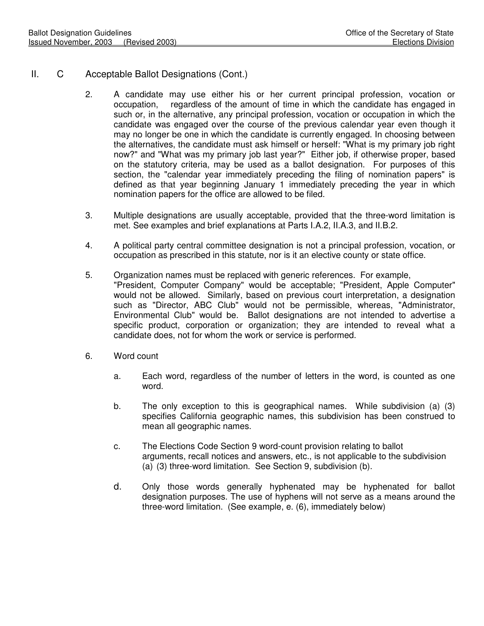- II. C Acceptable Ballot Designations (Cont.)
	- 2. A candidate may use either his or her current principal profession, vocation or occupation, regardless of the amount of time in which the candidate has engaged in such or, in the alternative, any principal profession, vocation or occupation in which the candidate was engaged over the course of the previous calendar year even though it may no longer be one in which the candidate is currently engaged. In choosing between the alternatives, the candidate must ask himself or herself: "What is my primary job right now?" and "What was my primary job last year?" Either job, if otherwise proper, based on the statutory criteria, may be used as a ballot designation. For purposes of this section, the "calendar year immediately preceding the filing of nomination papers" is defined as that year beginning January 1 immediately preceding the year in which nomination papers for the office are allowed to be filed.
	- 3. Multiple designations are usually acceptable, provided that the three-word limitation is met. See examples and brief explanations at Parts I.A.2, II.A.3, and II.B.2.
	- 4. A political party central committee designation is not a principal profession, vocation, or occupation as prescribed in this statute, nor is it an elective county or state office.
	- 5. Organization names must be replaced with generic references. For example, "President, Computer Company" would be acceptable; "President, Apple Computer" would not be allowed. Similarly, based on previous court interpretation, a designation such as "Director, ABC Club" would not be permissible, whereas, "Administrator, Environmental Club" would be. Ballot designations are not intended to advertise a specific product, corporation or organization; they are intended to reveal what a candidate does, not for whom the work or service is performed.
	- 6. Word count
		- a. Each word, regardless of the number of letters in the word, is counted as one word.
		- b. The only exception to this is geographical names. While subdivision (a) (3) specifies California geographic names, this subdivision has been construed to mean all geographic names.
		- c. The Elections Code Section 9 word-count provision relating to ballot arguments, recall notices and answers, etc., is not applicable to the subdivision (a) (3) three-word limitation. See Section 9, subdivision (b).
		- d. Only those words generally hyphenated may be hyphenated for ballot designation purposes. The use of hyphens will not serve as a means around the three-word limitation. (See example, e. (6), immediately below)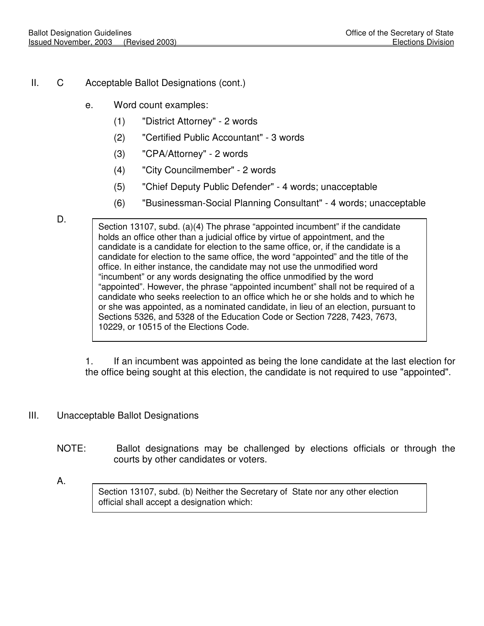- II. C Acceptable Ballot Designations (cont.)
	- e. Word count examples:
		- (1) "District Attorney" 2 words
		- (2) "Certified Public Accountant" 3 words
		- (3) "CPA/Attorney" 2 words
		- (4) "City Councilmember" 2 words
		- (5) "Chief Deputy Public Defender" 4 words; unacceptable
		- (6) "Businessman-Social Planning Consultant" 4 words; unacceptable

Section 13107, subd. (a)(4) The phrase "appointed incumbent" if the candidate holds an office other than a judicial office by virtue of appointment, and the candidate is a candidate for election to the same office, or, if the candidate is a candidate for election to the same office, the word "appointed" and the title of the office. In either instance, the candidate may not use the unmodified word "incumbent" or any words designating the office unmodified by the word "appointed". However, the phrase "appointed incumbent" shall not be required of a candidate who seeks reelection to an office which he or she holds and to which he or she was appointed, as a nominated candidate, in lieu of an election, pursuant to Sections 5326, and 5328 of the Education Code or Section 7228, 7423, 7673, 10229, or 10515 of the Elections Code.

1. If an incumbent was appointed as being the lone candidate at the last election for the office being sought at this election, the candidate is not required to use "appointed".

- III. Unacceptable Ballot Designations
	- NOTE: Ballot designations may be challenged by elections officials or through the courts by other candidates or voters.
	- A.

Section 13107, subd. (b) Neither the Secretary of State nor any other election official shall accept a designation which:

D.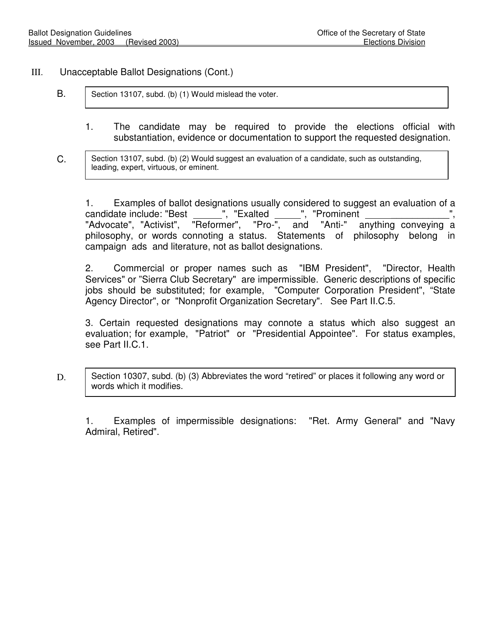#### III. Unacceptable Ballot Designations (Cont.)

- B. Section 13107, subd. (b) (1) Would mislead the voter.
	- 1. The candidate may be required to provide the elections official with substantiation, evidence or documentation to support the requested designation.
- C. Section 13107, subd. (b) (2) Would suggest an evaluation of a candidate, such as outstanding, leading, expert, virtuous, or eminent.

1. Examples of ballot designations usually considered to suggest an evaluation of a candidate include: "Best \_\_\_\_\_\_", "Exalted \_\_\_\_", "Prominent<br>"Advocate", "Activist", "Reformer", "Pro-", and "Anti-" a "Advocate", "Activist", "Reformer", "Pro-", and "Anti-" anything conveying a philosophy, or words connoting a status. Statements of philosophy belong in campaign ads and literature, not as ballot designations.

2. Commercial or proper names such as "IBM President", "Director, Health Services" or "Sierra Club Secretary" are impermissible. Generic descriptions of specific jobs should be substituted; for example, "Computer Corporation President", "State Agency Director", or "Nonprofit Organization Secretary". See Part II.C.5.

3. Certain requested designations may connote a status which also suggest an evaluation; for example, "Patriot" or "Presidential Appointee". For status examples, see Part II.C.1.

D. Section 10307, subd. (b) (3) Abbreviates the word "retired" or places it following any word or words which it modifies.

1. Examples of impermissible designations: "Ret. Army General" and "Navy Admiral, Retired".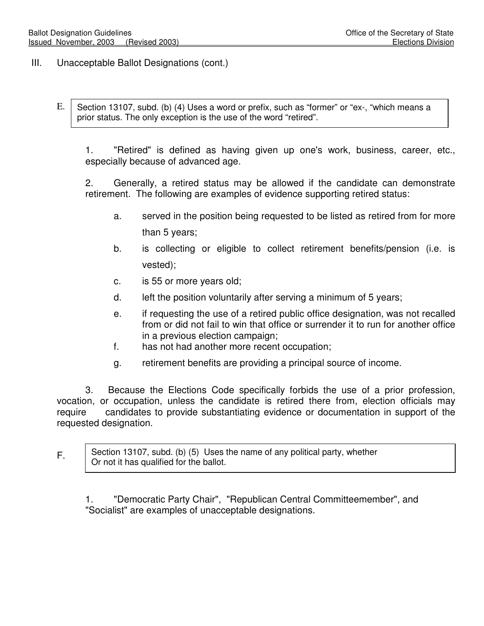F.

- III. Unacceptable Ballot Designations (cont.)
	- E. Section 13107, subd. (b) (4) Uses a word or prefix, such as "former" or "ex-, "which means a prior status. The only exception is the use of the word "retired".

1. "Retired" is defined as having given up one's work, business, career, etc., especially because of advanced age.

2. Generally, a retired status may be allowed if the candidate can demonstrate retirement. The following are examples of evidence supporting retired status:

- a. served in the position being requested to be listed as retired from for more than 5 years;
- b. is collecting or eligible to collect retirement benefits/pension (i.e. is vested);
- c. is 55 or more years old;
- d. left the position voluntarily after serving a minimum of 5 years;
- e. if requesting the use of a retired public office designation, was not recalled from or did not fail to win that office or surrender it to run for another office in a previous election campaign;
- f. has not had another more recent occupation;
- g. retirement benefits are providing a principal source of income.

 3. Because the Elections Code specifically forbids the use of a prior profession, vocation, or occupation, unless the candidate is retired there from, election officials may require candidates to provide substantiating evidence or documentation in support of the requested designation.

Section 13107, subd. (b) (5) Uses the name of any political party, whether Or not it has qualified for the ballot.

1. "Democratic Party Chair", "Republican Central Committeemember", and "Socialist" are examples of unacceptable designations.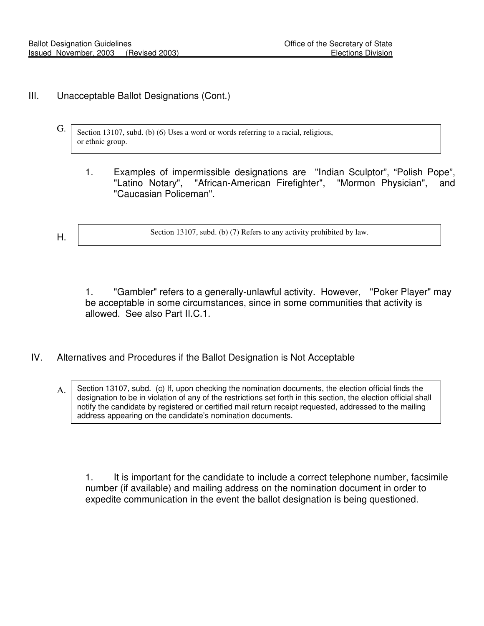#### III. Unacceptable Ballot Designations (Cont.)

- G. Section 13107, subd. (b) (6) Uses a word or words referring to a racial, religious, or ethnic group.
	- 1. Examples of impermissible designations are "Indian Sculptor", "Polish Pope", "Latino Notary", "African-American Firefighter", "Mormon Physician", and "Caucasian Policeman".
- H.

Section 13107, subd. (b) (7) Refers to any activity prohibited by law.

1. "Gambler" refers to a generally-unlawful activity. However, "Poker Player" may be acceptable in some circumstances, since in some communities that activity is allowed. See also Part II.C.1.

#### IV. Alternatives and Procedures if the Ballot Designation is Not Acceptable

A. Section 13107, subd. (c) If, upon checking the nomination documents, the election official finds the designation to be in violation of any of the restrictions set forth in this section, the election official shall notify the candidate by registered or certified mail return receipt requested, addressed to the mailing address appearing on the candidate's nomination documents.

1. It is important for the candidate to include a correct telephone number, facsimile number (if available) and mailing address on the nomination document in order to expedite communication in the event the ballot designation is being questioned.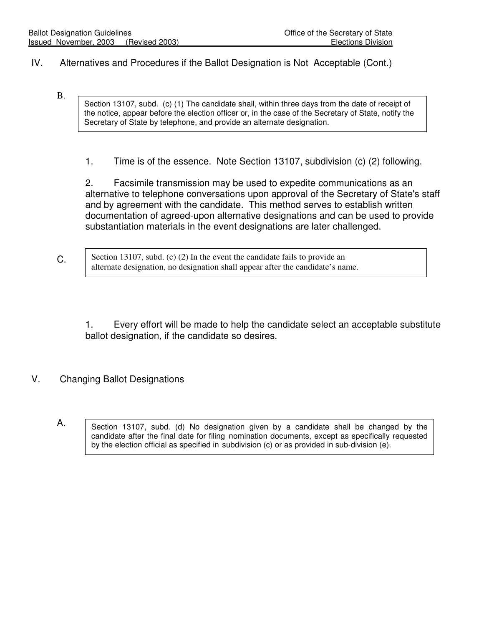#### IV. Alternatives and Procedures if the Ballot Designation is Not Acceptable (Cont.)

 B. Section 13107, subd. (c) (1) The candidate shall, within three days from the date of receipt of the notice, appear before the election officer or, in the case of the Secretary of State, notify the Secretary of State by telephone, and provide an alternate designation.

1. Time is of the essence. Note Section 13107, subdivision (c) (2) following.

2. Facsimile transmission may be used to expedite communications as an alternative to telephone conversations upon approval of the Secretary of State's staff and by agreement with the candidate. This method serves to establish written documentation of agreed-upon alternative designations and can be used to provide substantiation materials in the event designations are later challenged.

C. Section 13107, subd. (c) (2) In the event the candidate fails to provide an alternate designation, no designation shall appear after the candidate's name.

1. Every effort will be made to help the candidate select an acceptable substitute ballot designation, if the candidate so desires.

#### V. Changing Ballot Designations

A.

Section 13107, subd. (d) No designation given by a candidate shall be changed by the candidate after the final date for filing nomination documents, except as specifically requested by the election official as specified in subdivision (c) or as provided in sub-division (e).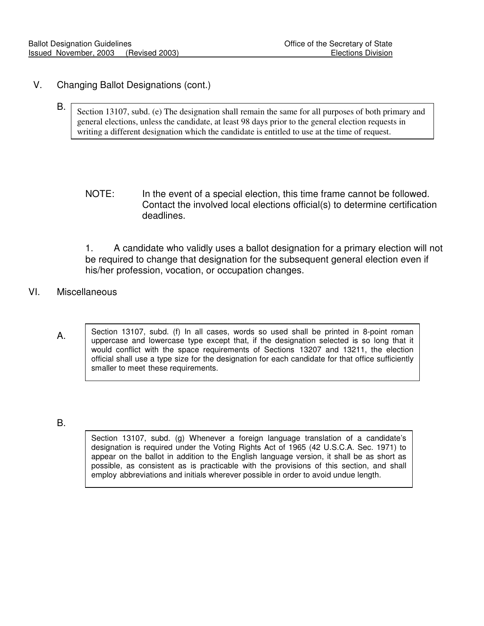#### V. Changing Ballot Designations (cont.)

- B. Section 13107, subd. (e) The designation shall remain the same for all purposes of both primary and general elections, unless the candidate, at least 98 days prior to the general election requests in writing a different designation which the candidate is entitled to use at the time of request.
	- NOTE: In the event of a special election, this time frame cannot be followed. Contact the involved local elections official(s) to determine certification deadlines.

1. A candidate who validly uses a ballot designation for a primary election will not be required to change that designation for the subsequent general election even if his/her profession, vocation, or occupation changes.

#### VI. Miscellaneous

Section 13107, subd. (f) In all cases, words so used shall be printed in 8-point roman uppercase and lowercase type except that, if the designation selected is so long that it would conflict with the space requirements of Sections 13207 and 13211, the election official shall use a type size for the designation for each candidate for that office sufficiently smaller to meet these requirements.

B.

A.

Section 13107, subd. (g) Whenever a foreign language translation of a candidate's designation is required under the Voting Rights Act of 1965 (42 U.S.C.A. Sec. 1971) to appear on the ballot in addition to the English language version, it shall be as short as possible, as consistent as is practicable with the provisions of this section, and shall employ abbreviations and initials wherever possible in order to avoid undue length.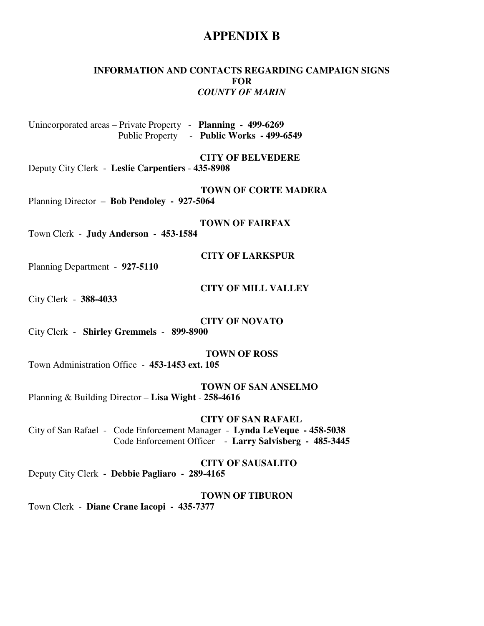#### **APPENDIX B**

#### **INFORMATION AND CONTACTS REGARDING CAMPAIGN SIGNS FOR**  *COUNTY OF MARIN*

Unincorporated areas – Private Property - **Planning - 499-6269**  Public Property - **Public Works - 499-6549**

 **CITY OF BELVEDERE** 

Deputy City Clerk - **Leslie Carpentiers** - **435-8908** 

 **TOWN OF CORTE MADERA**  Planning Director – **Bob Pendoley - 927-5064** 

 **TOWN OF FAIRFAX** 

Town Clerk - **Judy Anderson - 453-1584**

 **CITY OF LARKSPUR** 

Planning Department - **927-5110** 

 **CITY OF MILL VALLEY** 

City Clerk - **388-4033** 

**CITY OF NOVATO** 

City Clerk - **Shirley Gremmels** - **899-8900**

**TOWN OF ROSS** 

Town Administration Office - **453-1453 ext. 105** 

 **TOWN OF SAN ANSELMO** 

Planning & Building Director – **Lisa Wight** - **258-4616** 

 **CITY OF SAN RAFAEL** 

City of San Rafael - Code Enforcement Manager - **Lynda LeVeque - 458-5038** Code Enforcement Officer - **Larry Salvisberg - 485-3445** 

 **CITY OF SAUSALITO** 

Deputy City Clerk **- Debbie Pagliaro - 289-4165** 

 **TOWN OF TIBURON** 

Town Clerk - **Diane Crane Iacopi - 435-7377**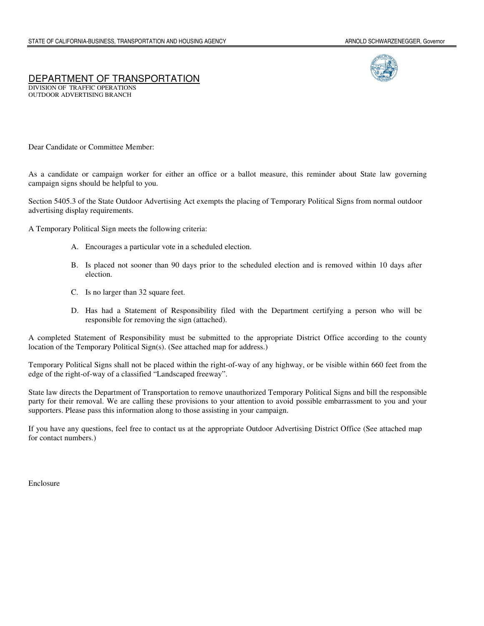#### DEPARTMENT OF TRANSPORTATION DIVISION OF TRAFFIC OPERATIONS

OUTDOOR ADVERTISING BRANCH

Dear Candidate or Committee Member:

As a candidate or campaign worker for either an office or a ballot measure, this reminder about State law governing campaign signs should be helpful to you.

Section 5405.3 of the State Outdoor Advertising Act exempts the placing of Temporary Political Signs from normal outdoor advertising display requirements.

A Temporary Political Sign meets the following criteria:

- A. Encourages a particular vote in a scheduled election.
- B. Is placed not sooner than 90 days prior to the scheduled election and is removed within 10 days after election.
- C. Is no larger than 32 square feet.
- D. Has had a Statement of Responsibility filed with the Department certifying a person who will be responsible for removing the sign (attached).

A completed Statement of Responsibility must be submitted to the appropriate District Office according to the county location of the Temporary Political Sign(s). (See attached map for address.)

Temporary Political Signs shall not be placed within the right-of-way of any highway, or be visible within 660 feet from the edge of the right-of-way of a classified "Landscaped freeway".

State law directs the Department of Transportation to remove unauthorized Temporary Political Signs and bill the responsible party for their removal. We are calling these provisions to your attention to avoid possible embarrassment to you and your supporters. Please pass this information along to those assisting in your campaign.

If you have any questions, feel free to contact us at the appropriate Outdoor Advertising District Office (See attached map for contact numbers.)

Enclosure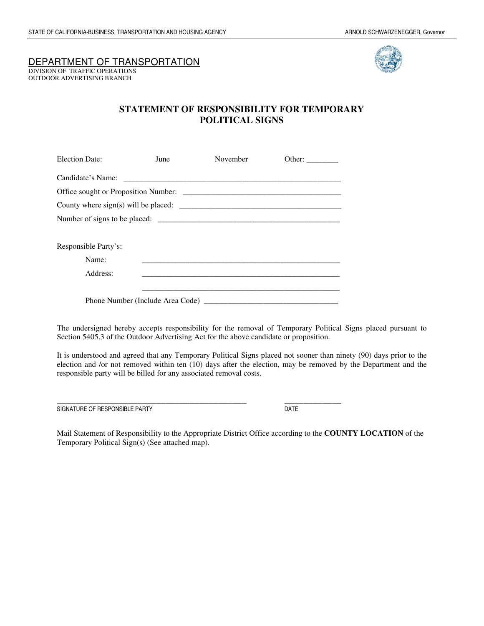#### DEPARTMENT OF TRANSPORTATION

DIVISION OF TRAFFIC OPERATIONS OUTDOOR ADVERTISING BRANCH



#### **STATEMENT OF RESPONSIBILITY FOR TEMPORARY POLITICAL SIGNS**

| <b>Election Date:</b> | June | November                         | Other: $\frac{1}{\sqrt{1-\frac{1}{2}} \cdot \frac{1}{2}}$ |
|-----------------------|------|----------------------------------|-----------------------------------------------------------|
|                       |      |                                  |                                                           |
|                       |      |                                  |                                                           |
|                       |      |                                  |                                                           |
|                       |      |                                  |                                                           |
|                       |      |                                  |                                                           |
| Responsible Party's:  |      |                                  |                                                           |
| Name:                 |      |                                  |                                                           |
| Address:              |      |                                  |                                                           |
|                       |      |                                  |                                                           |
|                       |      | Phone Number (Include Area Code) |                                                           |

The undersigned hereby accepts responsibility for the removal of Temporary Political Signs placed pursuant to Section 5405.3 of the Outdoor Advertising Act for the above candidate or proposition.

It is understood and agreed that any Temporary Political Signs placed not sooner than ninety (90) days prior to the election and /or not removed within ten (10) days after the election, may be removed by the Department and the responsible party will be billed for any associated removal costs.

\_\_\_\_\_\_\_\_\_\_\_\_\_\_\_\_\_\_\_\_\_\_\_\_\_\_\_\_\_\_\_\_\_\_\_\_\_\_\_\_ \_\_\_\_\_\_\_\_\_\_\_\_ SIGNATURE OF RESPONSIBLE PARTY DATE

Mail Statement of Responsibility to the Appropriate District Office according to the **COUNTY LOCATION** of the Temporary Political Sign(s) (See attached map).